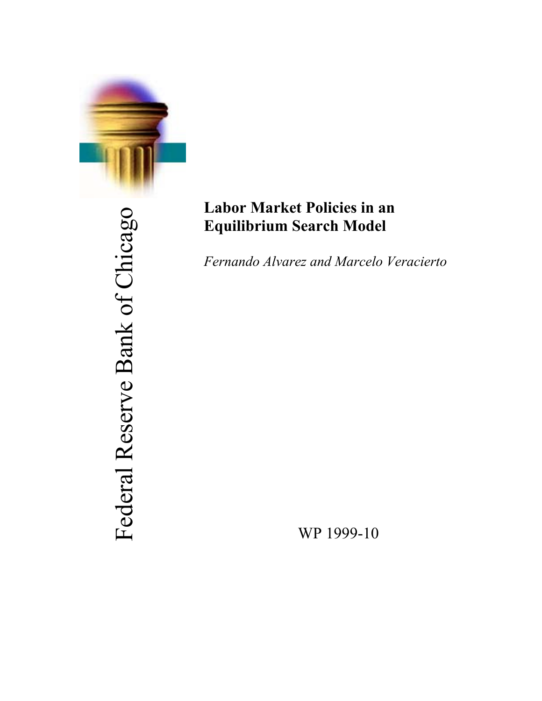

Federal Reserve Bank of Chicago Federal Reserve Bank of Chicago

## **Labor Market Policies in an Equilibrium Search Model**

*Fernando Alvarez and Marcelo Veracierto*

WP 1999-10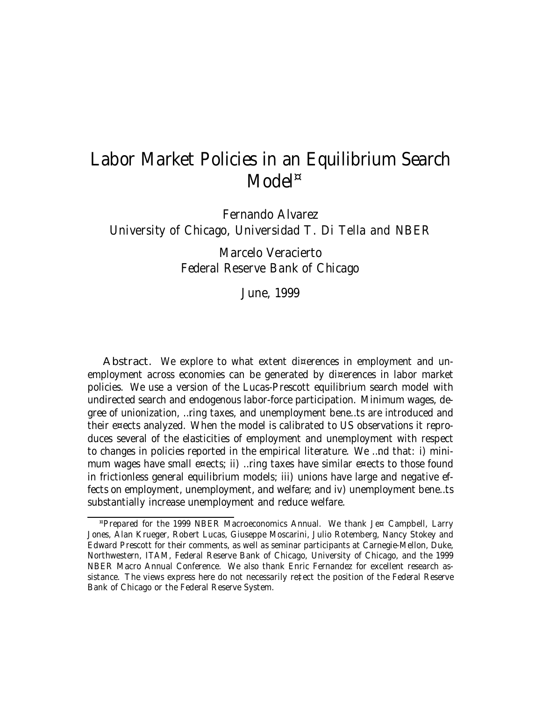# Labor Market Policies in an Equilibrium Search Model<sup>¤</sup>

Fernando Alvarez University of Chicago, Universidad T. Di Tella and NBER

> Marcelo Veracierto Federal Reserve Bank of Chicago

> > June, 1999

Abstract. We explore to what extent di¤erences in employment and unemployment across economies can be generated by di¤erences in labor market policies. We use a version of the Lucas-Prescott equilibrium search model with undirected search and endogenous labor-force participation. Minimum wages, degree of unionization, …ring taxes, and unemployment bene…ts are introduced and their e¤ects analyzed. When the model is calibrated to US observations it reproduces several of the elasticities of employment and unemployment with respect to changes in policies reported in the empirical literature. We …nd that: i) minimum wages have small e¤ects; ii) …ring taxes have similar e¤ects to those found in frictionless general equilibrium models; iii) unions have large and negative effects on employment, unemployment, and welfare; and iv) unemployment bene…ts substantially increase unemployment and reduce welfare.

<sup>¤</sup>Prepared for the 1999 NBER Macroeconomics Annual. We thank Je¤ Campbell, Larry Jones, Alan Krueger, Robert Lucas, Giuseppe Moscarini, Julio Rotemberg, Nancy Stokey and Edward Prescott for their comments, as well as seminar participants at Carnegie-Mellon, Duke, Northwestern, ITAM, Federal Reserve Bank of Chicago, University of Chicago, and the 1999 NBER Macro Annual Conference. We also thank Enric Fernandez for excellent research assistance. The views express here do not necessarily re‡ect the position of the Federal Reserve Bank of Chicago or the Federal Reserve System.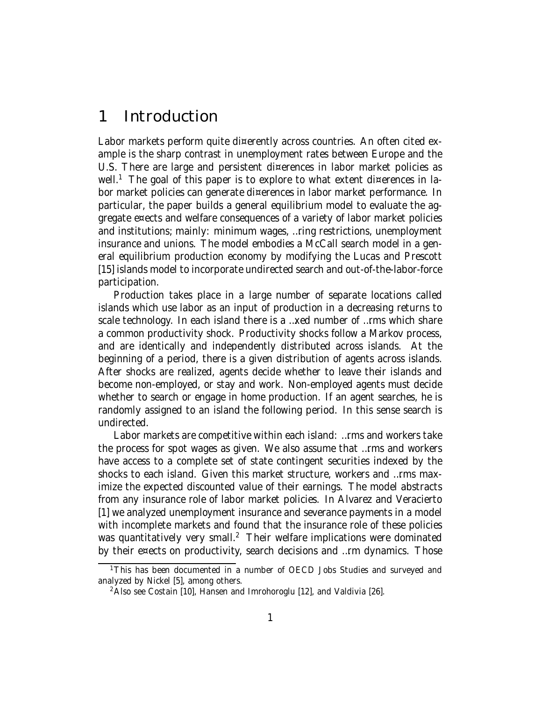## 1 Introduction

Labor markets perform quite di¤erently across countries. An often cited example is the sharp contrast in unemployment rates between Europe and the U.S. There are large and persistent di¤erences in labor market policies as well.<sup>1</sup> The goal of this paper is to explore to what extent di¤erences in labor market policies can generate di¤erences in labor market performance. In particular, the paper builds a general equilibrium model to evaluate the aggregate e¤ects and welfare consequences of a variety of labor market policies and institutions; mainly: minimum wages, …ring restrictions, unemployment insurance and unions. The model embodies a McCall search model in a general equilibrium production economy by modifying the Lucas and Prescott [15] islands model to incorporate undirected search and out-of-the-labor-force participation.

Production takes place in a large number of separate locations called islands which use labor as an input of production in a decreasing returns to scale technology. In each island there is a …xed number of …rms which share a common productivity shock. Productivity shocks follow a Markov process, and are identically and independently distributed across islands. At the beginning of a period, there is a given distribution of agents across islands. After shocks are realized, agents decide whether to leave their islands and become non-employed, or stay and work. Non-employed agents must decide whether to search or engage in home production. If an agent searches, he is randomly assigned to an island the following period. In this sense search is undirected.

Labor markets are competitive within each island: …rms and workers take the process for spot wages as given. We also assume that …rms and workers have access to a complete set of state contingent securities indexed by the shocks to each island. Given this market structure, workers and …rms maximize the expected discounted value of their earnings. The model abstracts from any insurance role of labor market policies. In Alvarez and Veracierto [1] we analyzed unemployment insurance and severance payments in a model with incomplete markets and found that the insurance role of these policies was quantitatively very small.<sup>2</sup> Their welfare implications were dominated by their e¤ects on productivity, search decisions and …rm dynamics. Those

<sup>&</sup>lt;sup>1</sup>This has been documented in a number of OECD Jobs Studies and surveyed and analyzed by Nickel [5], among others.

 $2$ Also see Costain [10], Hansen and Imrohoroglu [12], and Valdivia [26].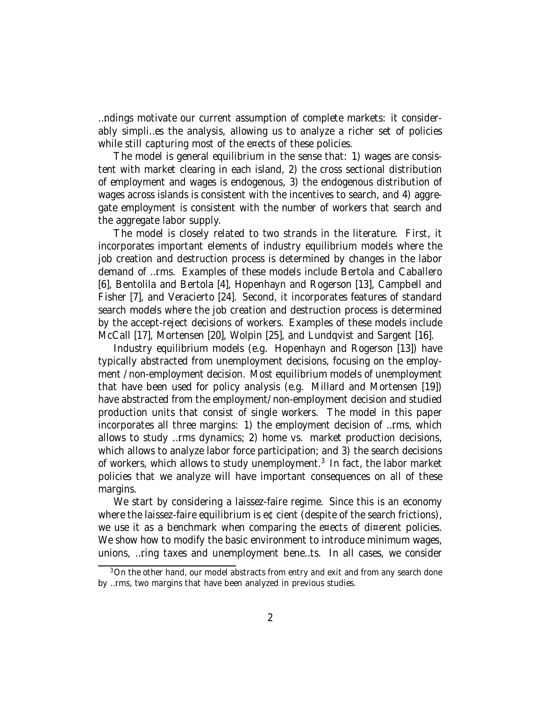…ndings motivate our current assumption of complete markets: it considerably simpli…es the analysis, allowing us to analyze a richer set of policies while still capturing most of the e¤ects of these policies.

The model is general equilibrium in the sense that: 1) wages are consistent with market clearing in each island, 2) the cross sectional distribution of employment and wages is endogenous, 3) the endogenous distribution of wages across islands is consistent with the incentives to search, and 4) aggregate employment is consistent with the number of workers that search and the aggregate labor supply.

The model is closely related to two strands in the literature. First, it incorporates important elements of industry equilibrium models where the job creation and destruction process is determined by changes in the labor demand of …rms. Examples of these models include Bertola and Caballero [6], Bentolila and Bertola [4], Hopenhayn and Rogerson [13], Campbell and Fisher [7], and Veracierto [24]. Second, it incorporates features of standard search models where the job creation and destruction process is determined by the accept-reject decisions of workers. Examples of these models include McCall [17], Mortensen [20], Wolpin [25], and Lundqvist and Sargent [16].

Industry equilibrium models (e.g. Hopenhayn and Rogerson [13]) have typically abstracted from unemployment decisions, focusing on the employment /non-employment decision. Most equilibrium models of unemployment that have been used for policy analysis (e.g. Millard and Mortensen [19]) have abstracted from the employment/non-employment decision and studied production units that consist of single workers. The model in this paper incorporates all three margins: 1) the employment decision of …rms, which allows to study …rms dynamics; 2) home vs. market production decisions, which allows to analyze labor force participation; and 3) the search decisions of workers, which allows to study unemployment.<sup>3</sup> In fact, the labor market policies that we analyze will have important consequences on all of these margins.

We start by considering a laissez-faire regime. Since this is an economy where the laissez-faire equilibrium is e¢cient (despite of the search frictions), we use it as a benchmark when comparing the e¤ects of di¤erent policies. We show how to modify the basic environment to introduce minimum wages, unions, …ring taxes and unemployment bene…ts. In all cases, we consider

<sup>&</sup>lt;sup>3</sup>On the other hand, our model abstracts from entry and exit and from any search done by …rms, two margins that have been analyzed in previous studies.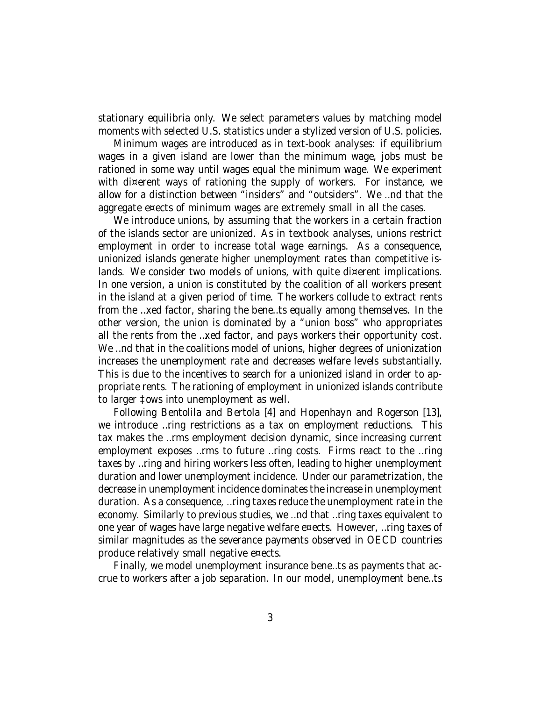stationary equilibria only. We select parameters values by matching model moments with selected U.S. statistics under a stylized version of U.S. policies.

Minimum wages are introduced as in text-book analyses: if equilibrium wages in a given island are lower than the minimum wage, jobs must be rationed in some way until wages equal the minimum wage. We experiment with di¤erent ways of rationing the supply of workers. For instance, we allow for a distinction between "insiders" and "outsiders". We …nd that the aggregate e¤ects of minimum wages are extremely small in all the cases.

We introduce unions, by assuming that the workers in a certain fraction of the islands sector are unionized. As in textbook analyses, unions restrict employment in order to increase total wage earnings. As a consequence, unionized islands generate higher unemployment rates than competitive islands. We consider two models of unions, with quite di¤erent implications. In one version, a union is constituted by the coalition of all workers present in the island at a given period of time. The workers collude to extract rents from the …xed factor, sharing the bene…ts equally among themselves. In the other version, the union is dominated by a "union boss" who appropriates all the rents from the …xed factor, and pays workers their opportunity cost. We …nd that in the coalitions model of unions, higher degrees of unionization increases the unemployment rate and decreases welfare levels substantially. This is due to the incentives to search for a unionized island in order to appropriate rents. The rationing of employment in unionized islands contribute to larger ‡ows into unemployment as well.

Following Bentolila and Bertola [4] and Hopenhayn and Rogerson [13], we introduce …ring restrictions as a tax on employment reductions. This tax makes the …rms employment decision dynamic, since increasing current employment exposes …rms to future …ring costs. Firms react to the …ring taxes by …ring and hiring workers less often, leading to higher unemployment duration and lower unemployment incidence. Under our parametrization, the decrease in unemployment incidence dominates the increase in unemployment duration. As a consequence, …ring taxes reduce the unemployment rate in the economy. Similarly to previous studies, we …nd that …ring taxes equivalent to one year of wages have large negative welfare e¤ects. However, …ring taxes of similar magnitudes as the severance payments observed in OECD countries produce relatively small negative e¤ects.

Finally, we model unemployment insurance bene…ts as payments that accrue to workers after a job separation. In our model, unemployment bene…ts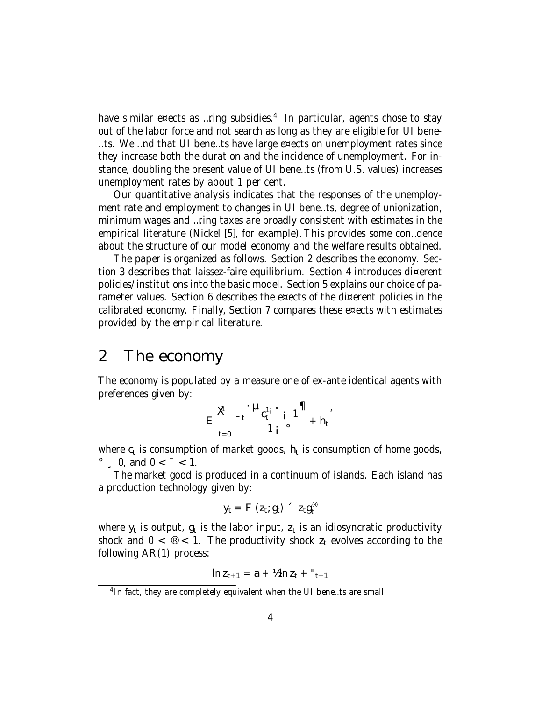have similar e¤ects as …ring subsidies. 4 In particular, agents chose to stay out of the labor force and not search as long as they are eligible for UI bene- …ts. We …nd that UI bene…ts have large e¤ects on unemployment rates since they increase both the duration and the incidence of unemployment. For instance, doubling the present value of UI bene…ts (from U.S. values) increases unemployment rates by about 1 per cent.

Our quantitative analysis indicates that the responses of the unemployment rate and employment to changes in UI bene…ts, degree of unionization, minimum wages and …ring taxes are broadly consistent with estimates in the empirical literature (Nickel [5], for example). This provides some con…dence about the structure of our model economy and the welfare results obtained.

The paper is organized as follows. Section 2 describes the economy. Section 3 describes that laissez-faire equilibrium. Section 4 introduces di¤erent policies/institutions into the basic model. Section 5 explains our choice of parameter values. Section 6 describes the e¤ects of the di¤erent policies in the calibrated economy. Finally, Section 7 compares these e¤ects with estimates provided by the empirical literature.

### 2 The economy

The economy is populated by a measure one of ex-ante identical agents with preferences given by:

$$
E \underset{t=0}{\mathbf{X}}^{-t} \cdot \underset{1}{\mathbf{H}} \frac{c_t^{1} \cdot \underset{i}{\mathbf{I}} \cdot \underset{j}{\mathbf{I}}}{\mathbf{I}} \mathbf{I} \underset{1}{\mathbf{I}} \cdot \underset{1}{\mathbf{I}} \cdot \underset{1}{\mathbf{I}} \cdot \mathbf{I} \cdot \mathbf{I} \cdot \mathbf{I}
$$

where  $\mathsf{c}_\mathsf{t}$  is consumption of market goods,  $\mathsf{h}_\mathsf{t}$  is consumption of home goods,  $\degree$ , 0, and 0 <  $\degree$  < 1.

The market good is produced in a continuum of islands. Each island has a production technology given by:

$$
y_t = F(z_t; g_t) \f z_t g_t^{\circledast}
$$

where  $\mathsf{y}_\mathsf{t}$  is output,  $\mathsf{g}_\mathsf{t}$  is abor input,  $\mathsf{z}_\mathsf{t}$  is an idiosyncratic productivity shock and  $0 < \mathcal{O} < 1$ . The productivity shock  $z_t$  evolves according to the following AR(1) process:

$$
\ln z_{t+1} = a + \frac{1}{2} \ln z_t + \binom{u}{t+1}
$$

<sup>&</sup>lt;sup>4</sup> In fact, they are completely equivalent when the UI bene...ts are small.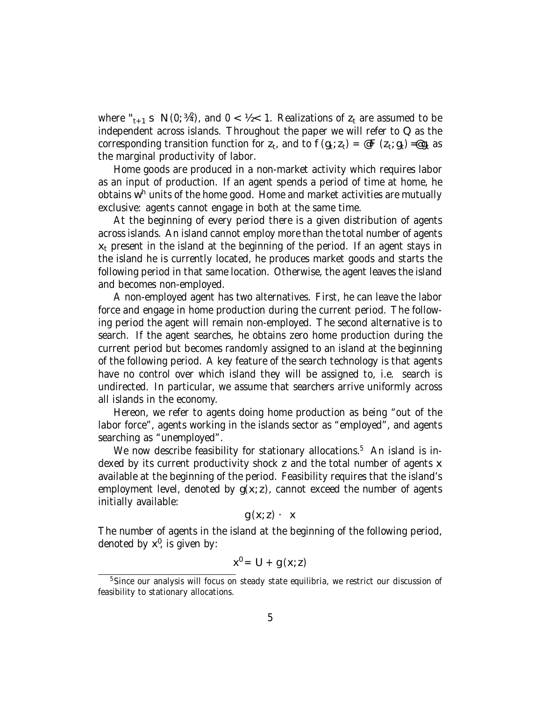where " $_{t+1}$  s N(0; ¼<sup>2</sup>), and 0 < ½ < 1. Realizations of  $z_t$  are assumed to be independent across islands. Throughout the paper we will refer to  $Q$  as the corresponding transition function for  $z_t$ , and to  $f(g_t; z_t) = \varpi F(z_t; g_t)$  = $\varpi g_t$  as the marginal productivity of labor.

Home goods are produced in a non-market activity which requires labor as an input of production. If an agent spends a period of time at home, he obtains w<sup>h</sup> units of the home good. Home and market activities are mutually exclusive: agents cannot engage in both at the same time.

At the beginning of every period there is a given distribution of agents across islands. An island cannot employ more than the total number of agents  $x<sub>t</sub>$  present in the island at the beginning of the period. If an agent stays in the island he is currently located, he produces market goods and starts the following period in that same location. Otherwise, the agent leaves the island and becomes non-employed.

A non-employed agent has two alternatives. First, he can leave the labor force and engage in home production during the current period. The following period the agent will remain non-employed. The second alternative is to search. If the agent searches, he obtains zero home production during the current period but becomes randomly assigned to an island at the beginning of the following period. A key feature of the search technology is that agents have no control over which island they will be assigned to, i.e. search is undirected. In particular, we assume that searchers arrive uniformly across all islands in the economy.

Hereon, we refer to agents doing home production as being "out of the labor force", agents working in the islands sector as "employed", and agents searching as "unemployed".

We now describe feasibility for stationary allocations.<sup>5</sup> An island is indexed by its current productivity shock z and the total number of agents x available at the beginning of the period. Feasibility requires that the island's employment level, denoted by  $g(x; z)$ , cannot exceed the number of agents initially available:

$$
g(x; z) \cdot x
$$

The number of agents in the island at the beginning of the following period, denoted by  $x^0$ , is given by:

$$
x^0 = U + g(x; z)
$$

<sup>&</sup>lt;sup>5</sup>Since our analysis will focus on steady state equilibria, we restrict our discussion of feasibility to stationary allocations.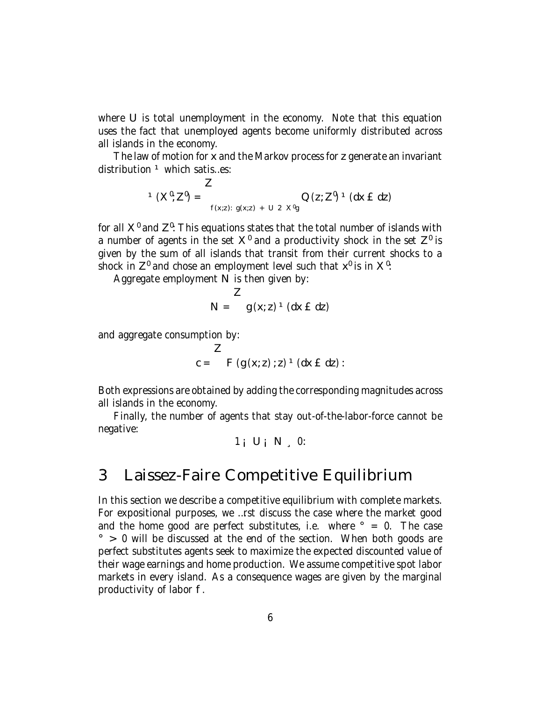where U is total unemployment in the economy. Note that this equation uses the fact that unemployed agents become uniformly distributed across all islands in the economy.

The law of motion for x and the Markov process for z generate an invariant distribution  $1$  which satis...es:

$$
{}^{1} (X^{0}; Z^{0}) = \sum_{f(x:z): g(x:z) + U - 2x^{0}g} Q(z; Z^{0}) {}^{1} (dx \in dz)
$$

for all  $\mathsf{X}^{\mathsf{0}}$  and  $\mathsf{Z}^{\mathsf{0}}$ : This equations states that the total number of islands with a number of agents in the set  $\mathsf{X}^{\mathsf{0}}$  and a productivity shock in the set  $\mathsf{Z}^{\mathsf{0}}$  is given by the sum of all islands that transit from their current shocks to a shock in Z $^{\mathfrak{g}}$  and chose an employment level such that  $\mathsf{x}^{\mathfrak{g}}$  is in  $\mathsf{X}^{\mathfrak{g}}$ :

Aggregate employment N is then given by:

$$
N =
$$
  $g(x; z) \cdot (dx \pm dz)$ 

and aggregate consumption by:

$$
c = \sum F(g(x; z) : z)^{-1} (dx \in dz)
$$

Both expressions are obtained by adding the corresponding magnitudes across all islands in the economy.

Finally, the number of agents that stay out-of-the-labor-force cannot be negative:

$$
1_i U_i N, 0:
$$

## 3 Laissez-Faire Competitive Equilibrium

In this section we describe a competitive equilibrium with complete markets. For expositional purposes, we …rst discuss the case where the market good and the home good are perfect substitutes, i.e. where  $\degree$  = 0. The case  $\degree$  > 0 will be discussed at the end of the section. When both goods are perfect substitutes agents seek to maximize the expected discounted value of their wage earnings and home production. We assume competitive spot labor markets in every island. As a consequence wages are given by the marginal productivity of labor f.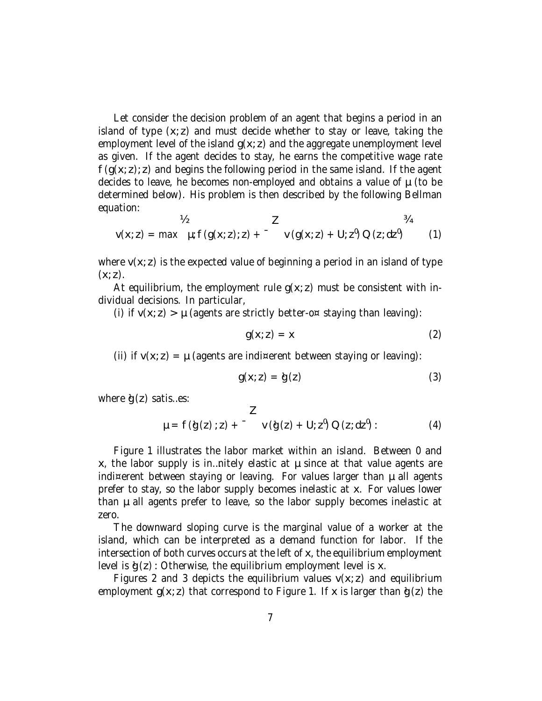Let consider the decision problem of an agent that begins a period in an island of type  $(x; z)$  and must decide whether to stay or leave, taking the employment level of the island  $g(x; z)$  and the aggregate unemployment level as given. If the agent decides to stay, he earns the competitive wage rate  $f(g(x; z); z)$  and begins the following period in the same island. If the agent decides to leave, he becomes non-employed and obtains a value of  $\mu$  (to be determined below). His problem is then described by the following Bellman equation:

$$
V_2
$$
  
 
$$
V(x; z) = max \mu; f(g(x; z); z) + \nu(g(x; z) + U; z^0) Q(z; dz^0)
$$
 (1)

where  $v(x; z)$  is the expected value of beginning a period in an island of type  $(x; z)$ .

At equilibrium, the employment rule  $q(x; z)$  must be consistent with individual decisions. In particular,

(i) if  $v(x; z) > \mu$  (agents are strictly better-o¤ staying than leaving):

$$
g(x; z) = x \tag{2}
$$

(ii) if  $v(x; z) = \mu$  (agents are indi¤erent between staying or leaving):

$$
g(x; z) = \hat{g}(z) \tag{3}
$$

where  $d(z)$  satis...es:

$$
\mu = f(g(z); z) + \begin{cases} 2 \\ v(g(z) + U; z^0) \, Q(z; dz^0) : \end{cases}
$$
 (4)

Figure 1 illustrates the labor market within an island. Between 0 and  $x<sub>i</sub>$ , the labor supply is in... nitely elastic at  $\mu$  since at that value agents are indi¤erent between staying or leaving. For values larger than  $\mu$  all agents prefer to stay, so the labor supply becomes inelastic at x. For values lower than µ all agents prefer to leave, so the labor supply becomes inelastic at zero.

The downward sloping curve is the marginal value of a worker at the island, which can be interpreted as a demand function for labor. If the intersection of both curves occurs at the left of x, the equilibrium employment level is  $\phi(z)$ : Otherwise, the equilibrium employment level is x.

Figures 2 and 3 depicts the equilibrium values  $v(x; z)$  and equilibrium employment  $q(x; z)$  that correspond to Figure 1. If x is larger than  $\dot{q}(z)$  the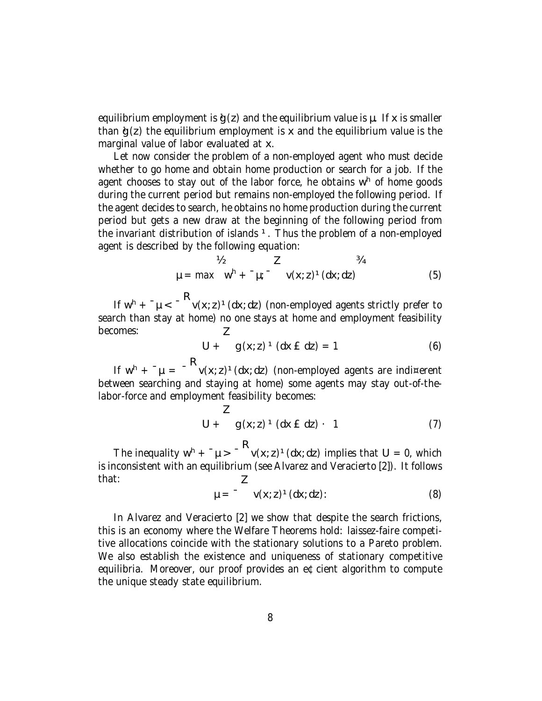equilibrium employment is  $\phi(z)$  and the equilibrium value is  $\mu$ . If x is smaller than  $g(z)$  the equilibrium employment is x and the equilibrium value is the marginal value of labor evaluated at x.

Let now consider the problem of a non-employed agent who must decide whether to go home and obtain home production or search for a job. If the agent chooses to stay out of the labor force, he obtains w<sup>h</sup> of home goods during the current period but remains non-employed the following period. If the agent decides to search, he obtains no home production during the current period but gets a new draw at the beginning of the following period from the invariant distribution of islands  $1$ . Thus the problem of a non-employed agent is described by the following equation:

$$
\frac{V_2}{\mu} = \max \quad w^h + \mu; \quad \frac{Z}{\nu(x; z)^1 (dx; dz)}
$$
 (5)

If  $w^h$  +  $^{-} \mu$  <  $^{-}$   $v(x; z)^1(dx; dz)$  (non-employed agents strictly prefer to search than stay at home) no one stays at home and employment feasibility becomes: Z

$$
U + g(x; z) \cdot (dx \tE dz) = 1
$$
 (6)

If  $w^{h}$  +  $^{-}\mu$  =  $^{-h}$  v(x; z)<sup>1</sup>(dx; dz) (non-employed agents are indi¤erent between searching and staying at home) some agents may stay out-of-thelabor-force and employment feasibility becomes:

$$
U + g(x; z) \cdot (dx \in dz) \cdot 1 \tag{7}
$$

The inequality  $w^h$  +  $^{-} \mu$  >  $^{-}$   $v(x; z)^1(dx; dz)$  implies that U = 0, which is inconsistent with an equilibrium (see Alvarez and Veracierto [2]). It follows that:

$$
\mu = \int_{0}^{2\pi} v(x; z)^{1} (dx; dz)
$$
 (8)

In Alvarez and Veracierto [2] we show that despite the search frictions, this is an economy where the Welfare Theorems hold: laissez-faire competitive allocations coincide with the stationary solutions to a Pareto problem. We also establish the existence and uniqueness of stationary competitive equilibria. Moreover, our proof provides an e¢cient algorithm to compute the unique steady state equilibrium.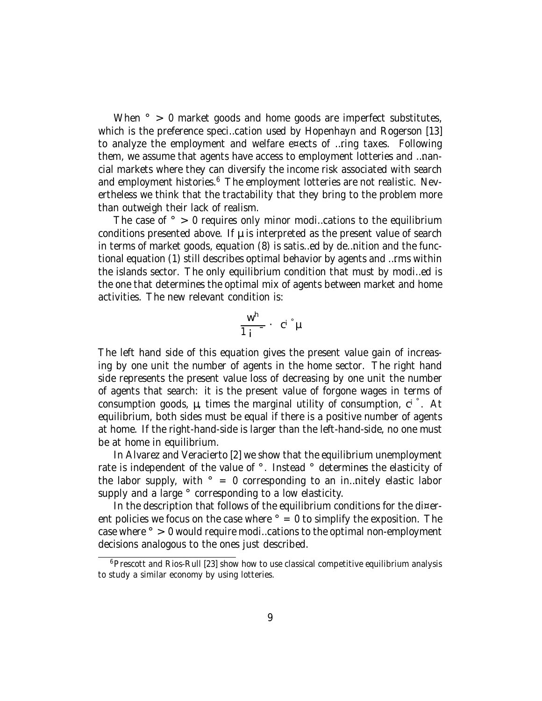When  $\degree$  > 0 market goods and home goods are imperfect substitutes, which is the preference speci…cation used by Hopenhayn and Rogerson [13] to analyze the employment and welfare e¤ects of …ring taxes. Following them, we assume that agents have access to employment lotteries and …nancial markets where they can diversify the income risk associated with search and employment histories.<sup>6</sup> The employment lotteries are not realistic. Nevertheless we think that the tractability that they bring to the problem more than outweigh their lack of realism.

The case of  $\degree$  > 0 requires only minor modi...cations to the equilibrium conditions presented above. If  $\mu$  is interpreted as the present value of search in terms of market goods, equation (8) is satis…ed by de…nition and the functional equation (1) still describes optimal behavior by agents and …rms within the islands sector. The only equilibrium condition that must by modi…ed is the one that determines the optimal mix of agents between market and home activities. The new relevant condition is:

$$
\frac{w^h}{1+i} - c^{i} \overset{\circ}{\mu}
$$

The left hand side of this equation gives the present value gain of increasing by one unit the number of agents in the home sector. The right hand side represents the present value loss of decreasing by one unit the number of agents that search: it is the present value of forgone wages in terms of consumption goods,  $\mu$ , times the marginal utility of consumption, ci. At equilibrium, both sides must be equal if there is a positive number of agents at home. If the right-hand-side is larger than the left-hand-side, no one must be at home in equilibrium.

In Alvarez and Veracierto [2] we show that the equilibrium unemployment rate is independent of the value of °. Instead ° determines the elasticity of the labor supply, with  $\degree$  = 0 corresponding to an in... nitely elastic labor supply and a large ° corresponding to a low elasticity.

In the description that follows of the equilibrium conditions for the di¤erent policies we focus on the case where  $\degree$  = 0 to simplify the exposition. The case where ° > 0 would require modi…cations to the optimal non-employment decisions analogous to the ones just described.

<sup>&</sup>lt;sup>6</sup> Prescott and Rios-Rull [23] show how to use classical competitive equilibrium analysis to study a similar economy by using lotteries.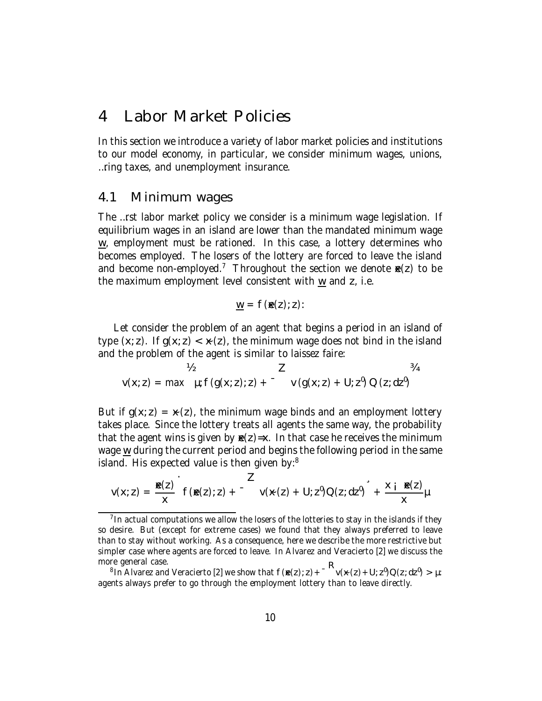## 4 Labor Market Policies

In this section we introduce a variety of labor market policies and institutions to our model economy, in particular, we consider minimum wages, unions, …ring taxes, and unemployment insurance.

#### 4.1 Minimum wages

The …rst labor market policy we consider is a minimum wage legislation. If equilibrium wages in an island are lower than the mandated minimum wage  $\underline{w}$ , employment must be rationed. In this case, a lottery determines who becomes employed. The losers of the lottery are forced to leave the island and become non-employed.<sup>7</sup> Throughout the section we denote  $\mathbf{E}(z)$  to be the maximum employment level consistent with w and z, i.e.

$$
\underline{w} = f(\mathbf{R}(z); z)
$$

Let consider the problem of an agent that begins a period in an island of type  $(x; z)$ . If  $g(x; z) < x(z)$ , the minimum wage does not bind in the island and the problem of the agent is similar to laissez faire:

$$
v(x; z) = \max \mu; f(g(x; z); z) + \frac{z}{\nu} (g(x; z) + U; z^{0}) Q(z; dz^{0})
$$

But if  $g(x; z) = x(z)$ , the minimum wage binds and an employment lottery takes place. Since the lottery treats all agents the same way, the probability that the agent wins is given by  $\mathbf{E}(z)=x$ . In that case he receives the minimum wage  $\underline{w}$  during the current period and begins the following period in the same island. His expected value is then given by:<sup>8</sup>

$$
v(x; z) = \frac{\mathbf{R}(z)}{x} \int_0^z f(\mathbf{R}(z); z) + \int_0^z v(x(z) + U; z^0) O(z; dz^0) + \frac{x + \mathbf{R}(z)}{x} \mu
$$

 $<sup>7</sup>$  In actual computations we allow the losers of the lotteries to stay in the islands if they</sup> so desire. But (except for extreme cases) we found that they always preferred to leave than to stay without working. As a consequence, here we describe the more restrictive but simpler case where agents are forced to leave. In Alvarez and Veracierto [2] we discuss the more general case.

<sup>&</sup>lt;sup>8</sup> In Alvarez and Veracierto [2] we show that  $f(\mathbf{g}(z); z) + \int u(x(z) + U; z^0) Q(z; dz^0) > \mu$ : agents always prefer to go through the employment lottery than to leave directly.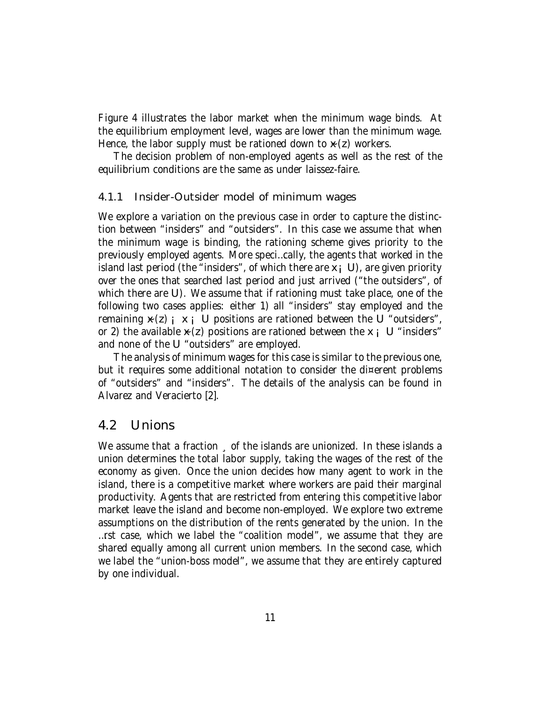Figure 4 illustrates the labor market when the minimum wage binds. At the equilibrium employment level, wages are lower than the minimum wage. Hence, the labor supply must be rationed down to  $\times$  (z) workers.

The decision problem of non-employed agents as well as the rest of the equilibrium conditions are the same as under laissez-faire.

#### 4.1.1 Insider-Outsider model of minimum wages

We explore a variation on the previous case in order to capture the distinction between "insiders" and "outsiders". In this case we assume that when the minimum wage is binding, the rationing scheme gives priority to the previously employed agents. More speci…cally, the agents that worked in the island last period (the "insiders", of which there are  $x_i, U$ ), are given priority over the ones that searched last period and just arrived ("the outsiders", of which there are U). We assume that if rationing must take place, one of the following two cases applies: either 1) all "insiders" stay employed and the remaining  $\times$  (z)  $\cdot$   $\times$   $\cdot$  U positions are rationed between the U "outsiders", or 2) the available  $x(z)$  positions are rationed between the  $x_i$  U "insiders" and none of the U "outsiders" are employed.

The analysis of minimum wages for this case is similar to the previous one, but it requires some additional notation to consider the di¤erent problems of "outsiders" and "insiders". The details of the analysis can be found in Alvarez and Veracierto [2].

### 4.2 Unions

We assume that a fraction of the islands are unionized. In these islands a union determines the total labor supply, taking the wages of the rest of the economy as given. Once the union decides how many agent to work in the island, there is a competitive market where workers are paid their marginal productivity. Agents that are restricted from entering this competitive labor market leave the island and become non-employed. We explore two extreme assumptions on the distribution of the rents generated by the union. In the …rst case, which we label the "coalition model", we assume that they are shared equally among all current union members. In the second case, which we label the "union-boss model", we assume that they are entirely captured by one individual.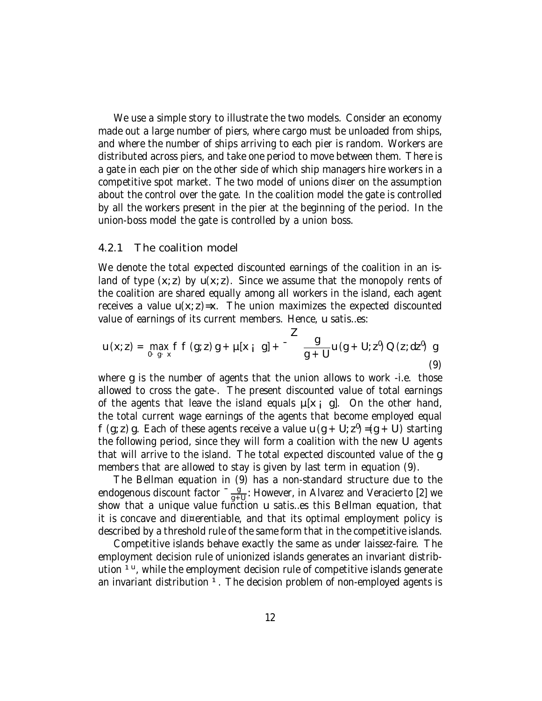We use a simple story to illustrate the two models. Consider an economy made out a large number of piers, where cargo must be unloaded from ships, and where the number of ships arriving to each pier is random. Workers are distributed across piers, and take one period to move between them. There is a gate in each pier on the other side of which ship managers hire workers in a competitive spot market. The two model of unions di¤er on the assumption about the control over the gate. In the coalition model the gate is controlled by all the workers present in the pier at the beginning of the period. In the union-boss model the gate is controlled by a union boss.

#### 4.2.1 The coalition model

We denote the total expected discounted earnings of the coalition in an island of type  $(x, z)$  by  $u(x, z)$ . Since we assume that the monopoly rents of the coalition are shared equally among all workers in the island, each agent receives a value  $u(x; z)=x$ . The union maximizes the expected discounted value of earnings of its current members. Hence, u satis…es:

$$
u(x; z) = \max_{0 \leq g \leq x} f f(g; z) g + \mu[x_i \ g] + \frac{z}{g+U} u(g+U; z^0) Q(z; dz^0) g
$$
\n(9)

where g is the number of agents that the union allows to work -i.e. those allowed to cross the gate-. The present discounted value of total earnings of the agents that leave the island equals  $\mu[x_i, g]$ . On the other hand, the total current wage earnings of the agents that become employed equal f (g; z) g. Each of these agents receive a value u (g + U;  $z^0$ ) =(g + U) starting the following period, since they will form a coalition with the new U agents that will arrive to the island. The total expected discounted value of the g members that are allowed to stay is given by last term in equation (9).

The Bellman equation in (9) has a non-standard structure due to the endogenous discount factor  $\frac{9}{94}$  $\frac{g}{g+U}$ : However, in Alvarez and Veracierto [2] we show that a unique value function u satis…es this Bellman equation, that it is concave and di¤erentiable, and that its optimal employment policy is described by a threshold rule of the same form that in the competitive islands.

Competitive islands behave exactly the same as under laissez-faire. The employment decision rule of unionized islands generates an invariant distribution <sup>1u</sup>, while the employment decision rule of competitive islands generate an invariant distribution <sup>1</sup>. The decision problem of non-employed agents is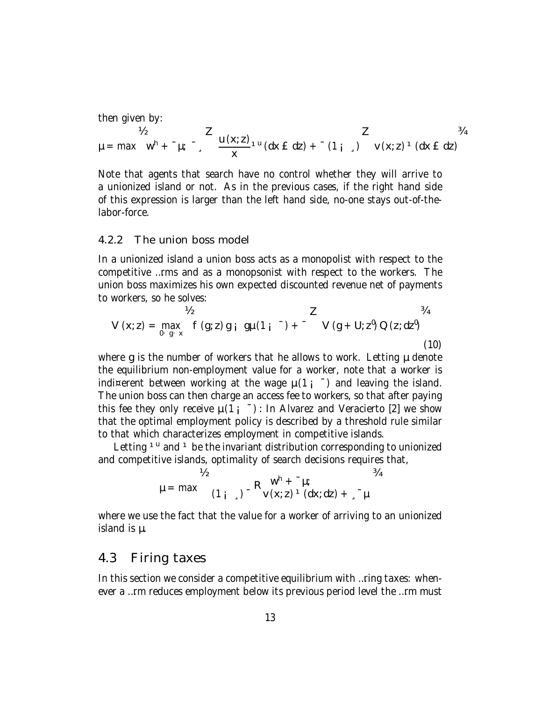then given by:

$$
\mu = \max_{M} w^{h} + \mu; \quad \frac{z}{x} = \frac{u(x;z)}{x^{1}} \cdot u \cdot (dx \in dz) + \mu \cdot (1 + \mu) \cdot v \cdot (x;z)^{1} \cdot (dx \in dz)
$$

Note that agents that search have no control whether they will arrive to a unionized island or not. As in the previous cases, if the right hand side of this expression is larger than the left hand side, no-one stays out-of-thelabor-force.

#### 4.2.2 The union boss model

In a unionized island a union boss acts as a monopolist with respect to the competitive …rms and as a monopsonist with respect to the workers. The union boss maximizes his own expected discounted revenue net of payments to workers, so he solves:

$$
V_2 \t Z \t 3/4
$$
  
\n
$$
V (x; z) = \max_{0 \leq y \leq x} f (g; z) g i g \mu (1 i^{-1}) + \frac{z}{1 + 1} \quad V (g + U; z^0) Q (z; dz^0)
$$
\n(10)

where g is the number of workers that he allows to work. Letting  $\mu$  denote the equilibrium non-employment value for a worker, note that a worker is indi¤erent between working at the wage  $\mu(1 - \bar{})$  and leaving the island. The union boss can then charge an access fee to workers, so that after paying this fee they only receive  $\mu(1_i^-)$ : In Alvarez and Veracierto [2] we show that the optimal employment policy is described by a threshold rule similar to that which characterizes employment in competitive islands.

Letting <sup>1u</sup> and <sup>1</sup> be the invariant distribution corresponding to unionized and competitive islands, optimality of search decisions requires that,

$$
\mu = \max \n\begin{array}{c}\n\gamma_2 \\
\mu = \max \n\begin{array}{cc}\n(1_{i_{s}}) - R \sqrt{x(z)} & \frac{1}{2} \\
\frac{1}{2} & \frac{1}{2} \sqrt{x(z)} & \frac{1}{2} \\
\frac{1}{2} & \frac{1}{2} \sqrt{x(z)} & \frac{1}{2} \sqrt{x(z)} \\
\frac{1}{2} & \frac{1}{2} \sqrt{x(z)} & \frac{1}{2} \sqrt{x(z)} \\
\frac{1}{2} & \frac{1}{2} \sqrt{x(z)} & \frac{1}{2} \sqrt{x(z)} & \frac{1}{2} \sqrt{x(z)} \\
\frac{1}{2} & \frac{1}{2} \sqrt{x(z)} & \frac{1}{2} \sqrt{x(z)} & \frac{1}{2} \sqrt{x(z)} \\
\frac{1}{2} & \frac{1}{2} \sqrt{x(z)} & \frac{1}{2} \sqrt{x(z)} & \frac{1}{2} \sqrt{x(z)} & \frac{1}{2} \sqrt{x(z)} \\
\frac{1}{2} & \frac{1}{2} \sqrt{x(z)} & \frac{1}{2} \sqrt{x(z)} & \frac{1}{2} \sqrt{x(z)} & \frac{1}{2} \sqrt{x(z)} \\
\frac{1}{2} & \frac{1}{2} \sqrt{x(z)} & \frac{1}{2} \sqrt{x(z)} & \frac{1}{2} \sqrt{x(z)} & \frac{1}{2} \sqrt{x(z)} \\
\frac{1}{2} & \frac{1}{2} \sqrt{x(z)} & \frac{1}{2} \sqrt{x(z)} & \frac{1}{2} \sqrt{x(z)} & \frac{1}{2} \sqrt{x(z)} \\
\frac{1}{2} & \frac{1}{2} \sqrt{x(z)} & \frac{1}{2} \sqrt{x(z)} & \frac{1}{2} \sqrt{x(z)} & \frac{1}{2} \sqrt{x(z)} \\
\frac{1}{2} & \frac{1}{2} \sqrt{x(z)} & \frac{1}{2} \sqrt{x(z)} & \frac{1}{2} \sqrt{x(z)} & \frac{1}{2} \sqrt{x(z)} & \frac{1}{2} \sqrt{x(z)} \\
\frac{1}{2} & \frac{1}{2} \sqrt{x(z)} & \frac{1}{2} \sqrt{x(z)} & \frac{1}{2} \sqrt{x(z)} & \frac{1}{2} \sqrt{x(z)} \\
\frac{1}{2} & \frac{1}{2} \sqrt{x(z)} & \frac{1}{2} \sqrt{x(z)} & \frac{1}{2} \sqrt{x(z)} & \frac{1}{2} \sqrt{x(z)} \\
\frac{1}{2} & \frac{1}{2} \sqrt
$$

where we use the fact that the value for a worker of arriving to an unionized island is µ.

#### 4.3 Firing taxes

In this section we consider a competitive equilibrium with ... ring taxes: whenever a …rm reduces employment below its previous period level the …rm must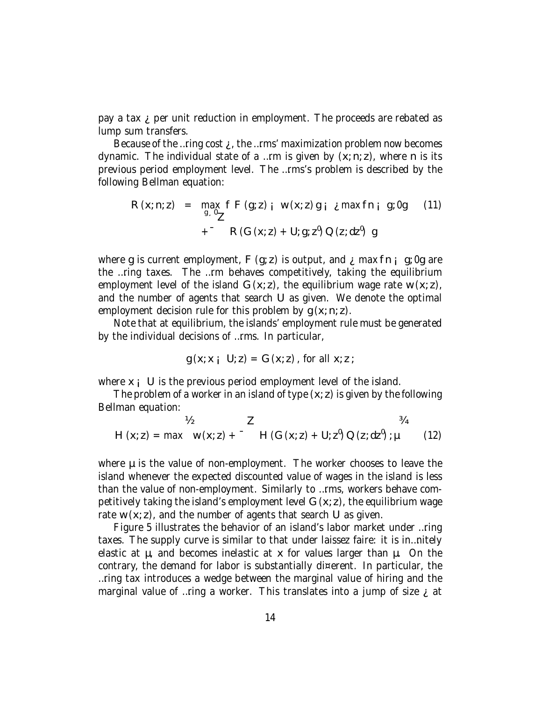pay a tax ¿ per unit reduction in employment. The proceeds are rebated as lump sum transfers.

Because of the …ring cost  $\chi$ , the …rms' maximization problem now becomes dynamic. The individual state of a ...rm is given by  $(x; n; z)$ , where n is its previous period employment level. The …rms's problem is described by the following Bellman equation:

$$
R(x; n; z) = \max_{g_s,0} f F(g; z) i w(x; z) g i \text{ max} f n i g; 0g \qquad (11)
$$
  
+<sup>-</sup> 
$$
R(G(x; z) + U; g; z0) Q(z; dz0) g
$$

where g is current employment,  $F(g; z)$  is output, and  $\lambda$  max fn  $\mu$  g; 0g are the …ring taxes. The …rm behaves competitively, taking the equilibrium employment level of the island  $G(x; z)$ , the equilibrium wage rate w  $(x; z)$ , and the number of agents that search U as given. We denote the optimal employment decision rule for this problem by  $g(x; n; z)$ .

Note that at equilibrium, the islands' employment rule must be generated by the individual decisions of …rms. In particular,

$$
g(x; x_i \cup z) = G(x; z), \text{ for all } x; z;
$$

where  $x_i$  U is the previous period employment level of the island.

The problem of a worker in an island of type  $(x, z)$  is given by the following Bellman equation:

$$
V_2 \t Z \t 34
$$
  
H (x; z) = max w (x; z) +  $-$  H (G (x; z) + U; z<sup>0</sup>) Q (z; dz<sup>0</sup>) ;  $\mu$  (12)

where  $\mu$  is the value of non-employment. The worker chooses to leave the island whenever the expected discounted value of wages in the island is less than the value of non-employment. Similarly to …rms, workers behave competitively taking the island's employment level  $G(x; z)$ , the equilibrium wage rate w  $(x; z)$ , and the number of agents that search U as given.

Figure 5 illustrates the behavior of an island's labor market under …ring taxes. The supply curve is similar to that under laissez faire: it is in…nitely elastic at µ, and becomes inelastic at x for values larger than µ. On the contrary, the demand for labor is substantially di¤erent. In particular, the …ring tax introduces a wedge between the marginal value of hiring and the marginal value of …ring a worker. This translates into a jump of size  $\chi$  at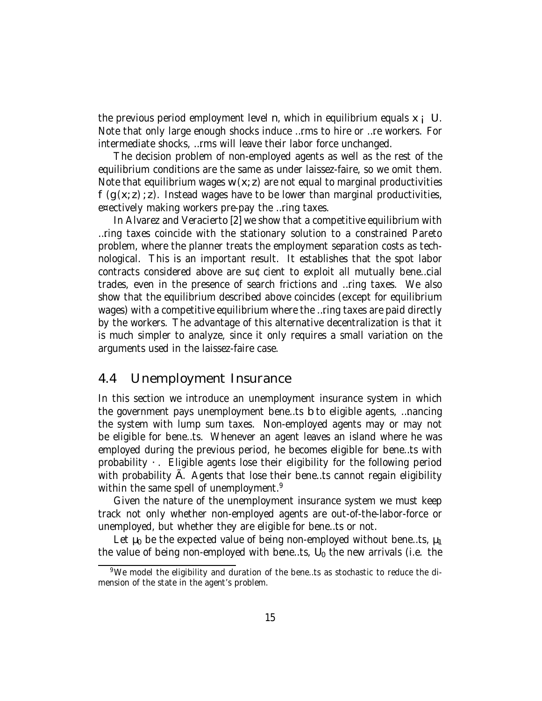the previous period employment level n, which in equilibrium equals  $x_i \, U$ . Note that only large enough shocks induce …rms to hire or …re workers. For intermediate shocks, …rms will leave their labor force unchanged.

The decision problem of non-employed agents as well as the rest of the equilibrium conditions are the same as under laissez-faire, so we omit them. Note that equilibrium wages  $w(x; z)$  are not equal to marginal productivities f (g (x; z); z). Instead wages have to be lower than marginal productivities, e¤ectively making workers pre-pay the …ring taxes.

In Alvarez and Veracierto [2] we show that a competitive equilibrium with …ring taxes coincide with the stationary solution to a constrained Pareto problem, where the planner treats the employment separation costs as technological. This is an important result. It establishes that the spot labor contracts considered above are su¢cient to exploit all mutually bene…cial trades, even in the presence of search frictions and …ring taxes. We also show that the equilibrium described above coincides (except for equilibrium wages) with a competitive equilibrium where the …ring taxes are paid directly by the workers. The advantage of this alternative decentralization is that it is much simpler to analyze, since it only requires a small variation on the arguments used in the laissez-faire case.

### 4.4 Unemployment Insurance

In this section we introduce an unemployment insurance system in which the government pays unemployment bene…ts b to eligible agents, …nancing the system with lump sum taxes. Non-employed agents may or may not be eligible for bene…ts. Whenever an agent leaves an island where he was employed during the previous period, he becomes eligible for bene…ts with probability ·. Eligible agents lose their eligibility for the following period with probability A. Agents that lose their bene...ts cannot regain eligibility within the same spell of unemployment.<sup>9</sup>

Given the nature of the unemployment insurance system we must keep track not only whether non-employed agents are out-of-the-labor-force or unemployed, but whether they are eligible for bene…ts or not.

Let  $\mu_0$  be the expected value of being non-employed without bene...ts,  $\mu_1$ the value of being non-employed with bene...ts,  $U_0$  the new arrivals (i.e. the

<sup>9</sup>We model the eligibility and duration of the bene…ts as stochastic to reduce the dimension of the state in the agent's problem.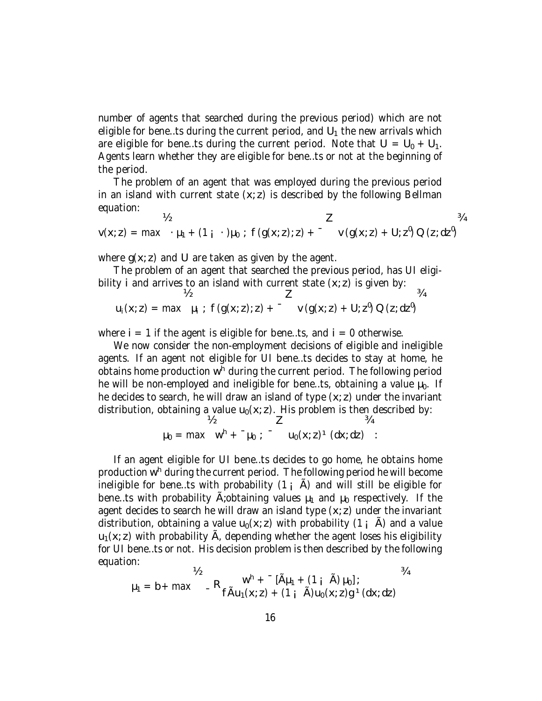number of agents that searched during the previous period) which are not eligible for bene...ts during the current period, and  $U_1$  the new arrivals which are eligible for bene...ts during the current period. Note that  $U = U_0 + U_1$ . Agents learn whether they are eligible for bene…ts or not at the beginning of the period.

The problem of an agent that was employed during the previous period in an island with current state  $(x, z)$  is described by the following Bellman equation:

$$
v(x; z) = max + \mu_1 + (1 \mathbf{i} \cdot \mathbf{j} + \mu_0) ; f(g(x; z); z) + \mathbf{i} \cdot \mathbf{j} + (1 \mathbf{j} \cdot \mathbf{k}) \cdot \mathbf{C} = max + \mu_1 + (1 \mathbf{i} \cdot \mathbf{k}) \cdot \mathbf{i} + (1 \mathbf{j} \cdot \mathbf{k}) \cdot \mathbf{i} + (1 \mathbf{k} \cdot \mathbf{k}) \cdot \mathbf{i} + (1 \mathbf{k} \cdot \mathbf{k}) \cdot \mathbf{i} + (1 \mathbf{k} \cdot \mathbf{k}) \cdot \mathbf{i} + (1 \mathbf{k} \cdot \mathbf{k}) \cdot \mathbf{i} + (1 \mathbf{k} \cdot \mathbf{k}) \cdot \mathbf{i} + (1 \mathbf{k} \cdot \mathbf{k}) \cdot \mathbf{i} + (1 \mathbf{k} \cdot \mathbf{k}) \cdot \mathbf{i} + (1 \mathbf{k} \cdot \mathbf{k}) \cdot \mathbf{i} + (1 \mathbf{k} \cdot \mathbf{k}) \cdot \mathbf{i} + (1 \mathbf{k} \cdot \mathbf{k}) \cdot \mathbf{i} + (1 \mathbf{k} \cdot \mathbf{k}) \cdot \mathbf{i} + (1 \mathbf{k} \cdot \mathbf{k}) \cdot \mathbf{i} + (1 \mathbf{k} \cdot \mathbf{k}) \cdot \mathbf{i} + (1 \mathbf{k} \cdot \mathbf{k}) \cdot \mathbf{i} + (1 \mathbf{k} \cdot \mathbf{k}) \cdot \mathbf{i} + (1 \mathbf{k} \cdot \mathbf{k}) \cdot \mathbf{i} + (1 \mathbf{k} \cdot \mathbf{k}) \cdot \mathbf{i} + (1 \mathbf{k} \cdot \mathbf{k}) \cdot \mathbf{i} + (1 \mathbf{k} \cdot \mathbf{k}) \cdot \mathbf{i} + (1 \mathbf{k} \cdot \mathbf{k}) \cdot \mathbf{i} + (1 \mathbf{k} \cdot \mathbf{k}) \cdot \mathbf{i} + (1 \mathbf{k} \cdot \mathbf{k}) \cdot \mathbf{i} + (1 \mathbf{k} \cdot \mathbf{k}) \cdot \mathbf{i} + (1 \mathbf{k} \cdot \mathbf{k}) \cdot \mathbf{i} + (1 \mathbf{k} \cdot \mathbf{k}) \cdot \mathbf{i} + (1 \mathbf{k} \cdot \mathbf{k}) \cdot \mathbf{i} + (1 \mathbf{k} \cdot \mathbf{k}) \cdot \mathbf{i} + (1 \mathbf{k} \cdot \mathbf{k}) \cdot \mathbf{i} + (1 \mathbf{k} \cdot \mathbf{k
$$

where  $g(x; z)$  and U are taken as given by the agent.

The problem of an agent that searched the previous period, has UI eligibility i and arrives to an island with current state  $(x, z)$  is given by:

$$
u_i(x; z) = \max \quad \mu_i \; ; \; f(g(x; z); z) + \frac{z}{\nu(g(x; z) + U; z^0)} \, Q(z; dz^0)
$$

where  $i = 1$  if the agent is eligible for bene...ts, and  $i = 0$  otherwise.

We now consider the non-employment decisions of eligible and ineligible agents. If an agent not eligible for UI bene…ts decides to stay at home, he obtains home production w<sup>h</sup> during the current period. The following period he will be non-employed and ineligible for bene...ts, obtaining a value  $\mu_0$ . If he decides to search, he will draw an island of type  $(x, z)$  under the invariant distribution, obtaining a value  $u_0(x; z)$ . His problem is then described by:  $\frac{1}{2}$ ¾

$$
\mu_0 = \max_{w^h + \mu_0} \mu_0
$$
;  $u_0(x; z)^1(dx; dz)$ 

If an agent eligible for UI bene…ts decides to go home, he obtains home production w<sup>h</sup> during the current period. The following period he will become ineligible for bene...ts with probability  $(1 \, \text{A})$  and will still be eligible for bene…ts with probability  $\hat{A}$ ; obtaining values  $\mu_1$  and  $\mu_0$  respectively. If the agent decides to search he will draw an island type  $(x, z)$  under the invariant distribution, obtaining a value  $u_0(x; z)$  with probability (1;  $\tilde{A}$ ) and a value  $u_1(x; z)$  with probability  $\tilde{A}$ , depending whether the agent loses his eligibility for UI bene…ts or not. His decision problem is then described by the following equation:

$$
\mu_1 = b + \max \left\{ \begin{array}{cc} w^h + \left[ \tilde{A} \mu_1 + (1 \, \, \tilde{A}) \, \mu_0 \right]; & \end{array} \right. \quad \text{and} \quad \frac{34}{1 + 1}.
$$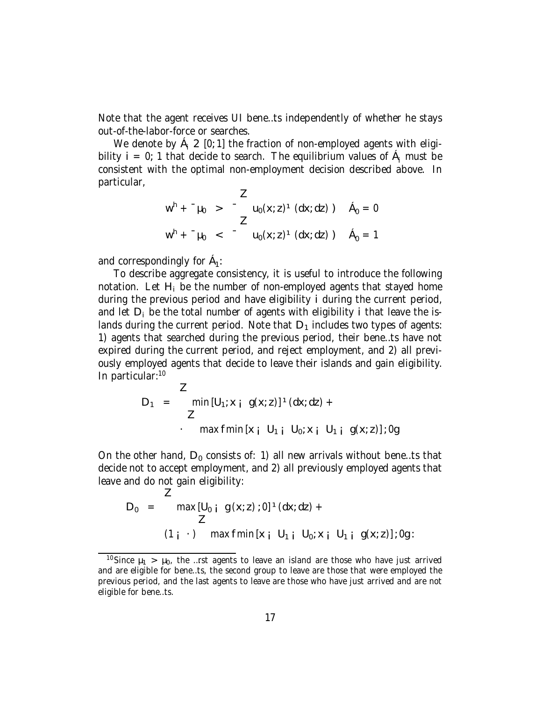Note that the agent receives UI bene…ts independently of whether he stays out-of-the-labor-force or searches.

We denote by  $\hat{A}_i$  2 [0; 1] the fraction of non-employed agents with eligibility  $i = 0$ ; 1 that decide to search. The equilibrium values of  $A_i$  must be consistent with the optimal non-employment decision described above. In particular,

$$
w^{h} + \mu_{0} > -\frac{z}{z} u_{0}(x; z)^{1} (dx; dz) \quad \text{A}_{0} = 0
$$
  

$$
w^{h} + \mu_{0} < -\mu_{0}(x; z)^{1} (dx; dz) \quad \text{A}_{0} = 1
$$

and correspondingly for  $A_1$ :

To describe aggregate consistency, it is useful to introduce the following notation. Let  $H_i$  be the number of non-employed agents that stayed home during the previous period and have eligibility i during the current period, and let  $D_i$  be the total number of agents with eligibility i that leave the islands during the current period. Note that  $D_1$  includes two types of agents: 1) agents that searched during the previous period, their bene…ts have not expired during the current period, and reject employment, and 2) all previously employed agents that decide to leave their islands and gain eligibility. In particular: 10

$$
D_1 = \n\begin{cases}\n\text{min}[U_1; x_i \ g(x; z)]^1(dx; dz) + \n\end{cases}
$$
\n
$$
\text{max}\ \text{fmin}[x_i \ U_1; U_0; x_i \ U_1; g(x; z)]; 0
$$

On the other hand,  $D_0$  consists of: 1) all new arrivals without bene...ts that decide not to accept employment, and 2) all previously employed agents that leave and do not gain eligibility:

$$
D_0 = \max[U_{0 \ i} g(x; z) : 0] \cdot (dx; dz) +
$$
  
\n
$$
Z
$$
  
\n
$$
(1 \ i \ \cdot) \max \text{fmin}[x \ i \ U_1 \ i \ U_0; x \ i \ U_1 \ i \ g(x; z)] : 0g :
$$

<sup>&</sup>lt;sup>10</sup>Since  $\mu_1$  >  $\mu_0$ , the …rst agents to leave an island are those who have just arrived and are eligible for bene…ts, the second group to leave are those that were employed the previous period, and the last agents to leave are those who have just arrived and are not eligible for bene…ts.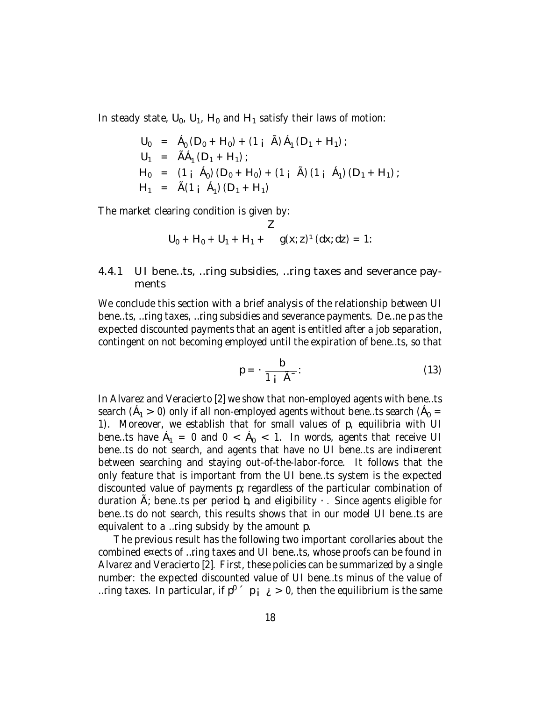In steady state,  $U_0$ ,  $U_1$ ,  $H_0$  and  $H_1$  satisfy their laws of motion:

$$
U_0 = A_0 (D_0 + H_0) + (1 \text{ i } \tilde{A}) A_1 (D_1 + H_1);
$$
  
\n
$$
U_1 = \tilde{A} A_1 (D_1 + H_1);
$$
  
\n
$$
H_0 = (1 \text{ i } A_0) (D_0 + H_0) + (1 \text{ i } \tilde{A}) (1 \text{ i } A_1) (D_1 + H_1);
$$
  
\n
$$
H_1 = \tilde{A} (1 \text{ i } A_1) (D_1 + H_1)
$$

The market clearing condition is given by:

$$
Z
$$
  
U<sub>0</sub> + H<sub>0</sub> + U<sub>1</sub> + H<sub>1</sub> + g(x; z)<sup>1</sup>(dx; dz) = 1:

#### 4.4.1 UI bene…ts, …ring subsidies, …ring taxes and severance payments

We conclude this section with a brief analysis of the relationship between UI bene…ts, …ring taxes, …ring subsidies and severance payments. De…ne p as the expected discounted payments that an agent is entitled after a job separation, contingent on not becoming employed until the expiration of bene…ts, so that

$$
p = -\frac{b}{1 + \tilde{A}^{-}}.
$$
 (13)

In Alvarez and Veracierto [2] we show that non-employed agents with bene…ts search ( $A_1 > 0$ ) only if all non-employed agents without bene...ts search ( $A_0 =$ 1). Moreover, we establish that for small values of p, equilibria with UI bene…ts have  $A_1 = 0$  and  $0 < A_0 < 1$ . In words, agents that receive UI bene…ts do not search, and agents that have no UI bene…ts are indi¤erent between searching and staying out-of-the-labor-force. It follows that the only feature that is important from the UI bene…ts system is the expected discounted value of payments p; regardless of the particular combination of duration  $\tilde{A}$ ; bene...ts per period b, and eligibility  $\cdot$ . Since agents eligible for bene…ts do not search, this results shows that in our model UI bene…ts are equivalent to a …ring subsidy by the amount p.

The previous result has the following two important corollaries about the combined e¤ects of …ring taxes and UI bene…ts, whose proofs can be found in Alvarez and Veracierto [2]. First, these policies can be summarized by a single number: the expected discounted value of UI bene…ts minus of the value of …ring taxes. In particular, if  $\mathsf{p}^{\mathsf{0}}\,$   $\,^{\prime}\,$  p  $_\mathsf{1}\,$   $_\mathsf{2}$   $\,>\,$  0, then the equilibrium is the same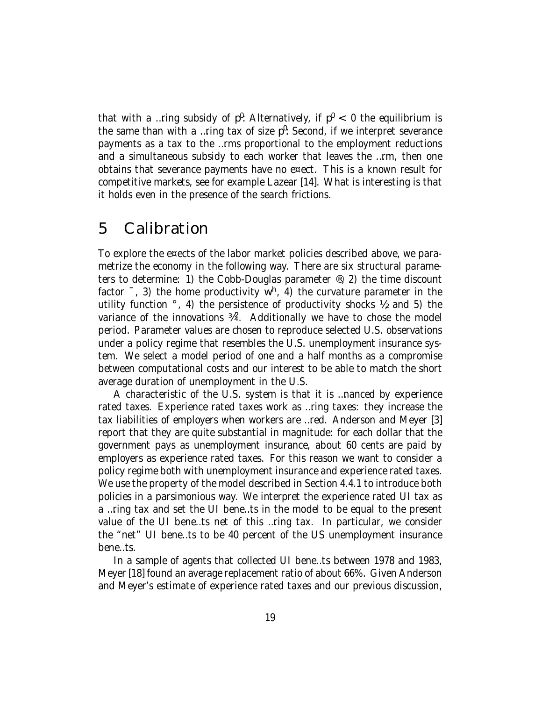that with a …ring subsidy of  $p^0$ : Alternatively, if  $p^0$  < 0 the equilibrium is the same than with a ... ring tax of size  $p^0$ : Second, if we interpret severance payments as a tax to the …rms proportional to the employment reductions and a simultaneous subsidy to each worker that leaves the …rm, then one obtains that severance payments have no e¤ect. This is a known result for competitive markets, see for example Lazear [14]. What is interesting is that it holds even in the presence of the search frictions.

## 5 Calibration

To explore the e¤ects of the labor market policies described above, we parametrize the economy in the following way. There are six structural parameters to determine: 1) the Cobb-Douglas parameter ®, 2) the time discount factor <sup>-</sup>, 3) the home productivity w<sup>h</sup>, 4) the curvature parameter in the utility function  $\degree$ , 4) the persistence of productivity shocks  $\frac{1}{2}$ , and 5) the variance of the innovations  $\frac{3}{4^2}$ . Additionally we have to chose the model period. Parameter values are chosen to reproduce selected U.S. observations under a policy regime that resembles the U.S. unemployment insurance system. We select a model period of one and a half months as a compromise between computational costs and our interest to be able to match the short average duration of unemployment in the U.S.

A characteristic of the U.S. system is that it is …nanced by experience rated taxes. Experience rated taxes work as …ring taxes: they increase the tax liabilities of employers when workers are …red. Anderson and Meyer [3] report that they are quite substantial in magnitude: for each dollar that the government pays as unemployment insurance, about 60 cents are paid by employers as experience rated taxes. For this reason we want to consider a policy regime both with unemployment insurance and experience rated taxes. We use the property of the model described in Section 4.4.1 to introduce both policies in a parsimonious way. We interpret the experience rated UI tax as a …ring tax and set the UI bene…ts in the model to be equal to the present value of the UI bene…ts net of this …ring tax. In particular, we consider the "net" UI bene…ts to be 40 percent of the US unemployment insurance bene…ts.

In a sample of agents that collected UI bene…ts between 1978 and 1983, Meyer [18] found an average replacement ratio of about 66%. Given Anderson and Meyer's estimate of experience rated taxes and our previous discussion,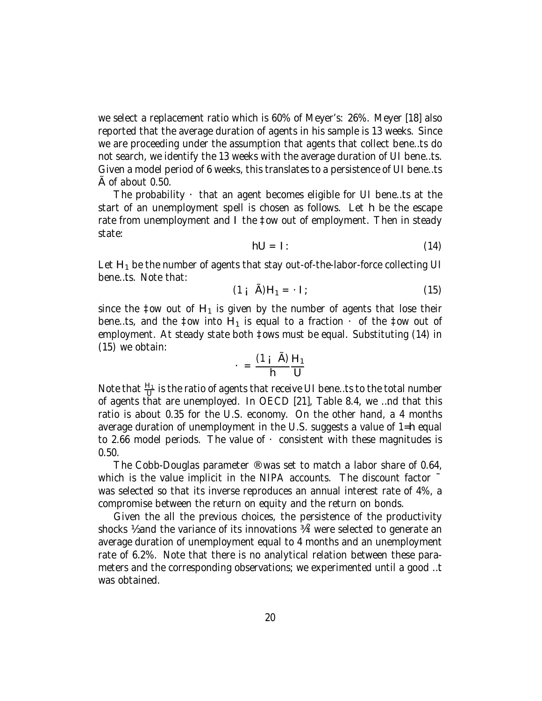we select a replacement ratio which is 60% of Meyer's: 26%. Meyer [18] also reported that the average duration of agents in his sample is 13 weeks. Since we are proceeding under the assumption that agents that collect bene…ts do not search, we identify the 13 weeks with the average duration of UI bene…ts. Given a model period of 6 weeks, this translates to a persistence of UI bene…ts A of about 0.50.

The probability  $\cdot$  that an agent becomes eligible for UI bene...ts at the start of an unemployment spell is chosen as follows. Let h be the escape rate from unemployment and I the ‡ow out of employment. Then in steady state:

$$
hU = I: \t(14)
$$

Let  $H_1$  be the number of agents that stay out-of-the-labor-force collecting UI bene…ts. Note that:

$$
(1 \mathbf{i} \quad \mathbf{\tilde{A}}) \mathbf{H}_1 = \mathbf{1};\tag{15}
$$

since the ‡ow out of  $H_1$  is given by the number of agents that lose their bene…ts, and the ‡ow into  $H_1$  is equal to a fraction  $\cdot$  of the ‡ow out of employment. At steady state both ‡ows must be equal. Substituting (14) in (15) we obtain:

$$
= \frac{(1 + \tilde{A})}{h} \frac{H_1}{U}
$$

Note that  $\frac{H_1}{H}$  $\frac{11}{U}$  is the ratio of agents that receive UI bene…ts to the total number of agents that are unemployed. In OECD [21], Table 8.4, we …nd that this ratio is about 0.35 for the U.S. economy. On the other hand, a 4 months average duration of unemployment in the U.S. suggests a value of 1=h equal to 2.66 model periods. The value of  $\cdot$  consistent with these magnitudes is 0.50.

The Cobb-Douglas parameter ® was set to match a labor share of 0.64, which is the value implicit in the NIPA accounts. The discount factor  $\overline{a}$ was selected so that its inverse reproduces an annual interest rate of 4%, a compromise between the return on equity and the return on bonds.

Given the all the previous choices, the persistence of the productivity shocks  $%$  and the variance of its innovations  $%$  were selected to generate an average duration of unemployment equal to 4 months and an unemployment rate of 6.2%. Note that there is no analytical relation between these parameters and the corresponding observations; we experimented until a good …t was obtained.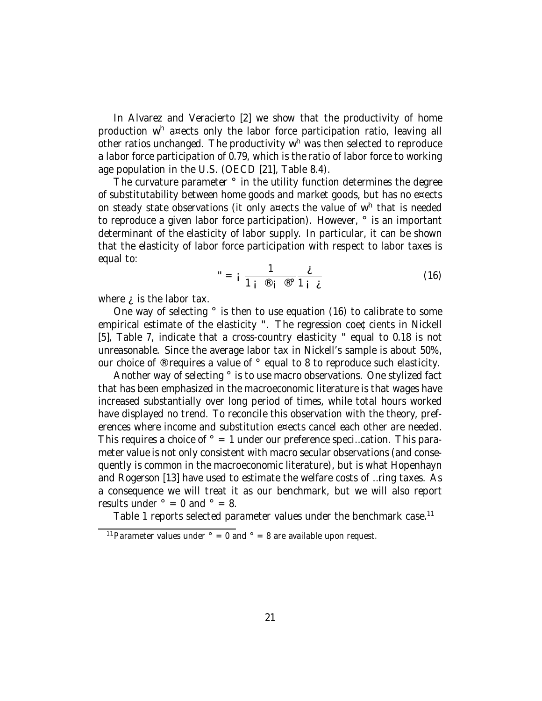In Alvarez and Veracierto [2] we show that the productivity of home production w<sup>h</sup> a¤ects only the labor force participation ratio, leaving all other ratios unchanged. The productivity w<sup>h</sup> was then selected to reproduce a labor force participation of 0.79, which is the ratio of labor force to working age population in the U.S. (OECD [21], Table 8.4).

The curvature parameter ° in the utility function determines the degree of substitutability between home goods and market goods, but has no e¤ects on steady state observations (it only a¤ects the value of w<sup>h</sup> that is needed to reproduce a given labor force participation). However, ° is an important determinant of the elasticity of labor supply. In particular, it can be shown that the elasticity of labor force participation with respect to labor taxes is equal to:

$$
" = i \frac{1}{1i \otimes i \otimes 1 i} \frac{\dot{\mathcal{L}}}{1 \dot{\mathcal{L}}}
$$
 (16)

where  $\lambda$  is the labor tax.

One way of selecting ° is then to use equation (16) to calibrate to some empirical estimate of the elasticity ". The regression coe¢cients in Nickell [5], Table 7, indicate that a cross-country elasticity " equal to 0.18 is not unreasonable. Since the average labor tax in Nickell's sample is about 50%, our choice of ® requires a value of ° equal to 8 to reproduce such elasticity.

Another way of selecting ° is to use macro observations. One stylized fact that has been emphasized in the macroeconomic literature is that wages have increased substantially over long period of times, while total hours worked have displayed no trend. To reconcile this observation with the theory, preferences where income and substitution e¤ects cancel each other are needed. This requires a choice of  $\degree$  = 1 under our preference speci...cation. This parameter value is not only consistent with macro secular observations (and consequently is common in the macroeconomic literature), but is what Hopenhayn and Rogerson [13] have used to estimate the welfare costs of …ring taxes. As a consequence we will treat it as our benchmark, but we will also report results under  $\degree$  = 0 and  $\degree$  = 8.

Table 1 reports selected parameter values under the benchmark case.<sup>11</sup>

<sup>&</sup>lt;sup>11</sup> Parameter values under  $\degree$  = 0 and  $\degree$  = 8 are available upon request.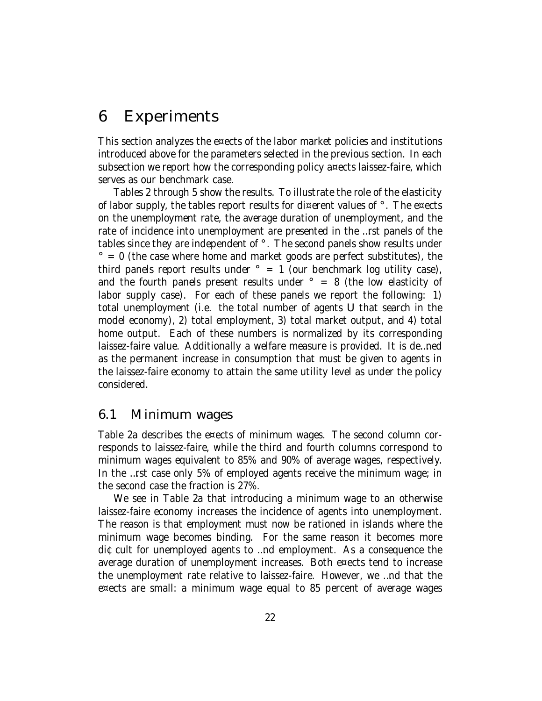## 6 Experiments

This section analyzes the e¤ects of the labor market policies and institutions introduced above for the parameters selected in the previous section. In each subsection we report how the corresponding policy a¤ects laissez-faire, which serves as our benchmark case.

Tables 2 through 5 show the results. To illustrate the role of the elasticity of labor supply, the tables report results for di¤erent values of °. The e¤ects on the unemployment rate, the average duration of unemployment, and the rate of incidence into unemployment are presented in the …rst panels of the tables since they are independent of °. The second panels show results under  $\degree$  = 0 (the case where home and market goods are perfect substitutes), the third panels report results under  $\degree$  = 1 (our benchmark log utility case), and the fourth panels present results under  $\degree$  = 8 (the low elasticity of labor supply case). For each of these panels we report the following: 1) total unemployment (i.e. the total number of agents U that search in the model economy), 2) total employment, 3) total market output, and 4) total home output. Each of these numbers is normalized by its corresponding laissez-faire value. Additionally a welfare measure is provided. It is de…ned as the permanent increase in consumption that must be given to agents in the laissez-faire economy to attain the same utility level as under the policy considered.

### 6.1 Minimum wages

Table 2a describes the e¤ects of minimum wages. The second column corresponds to laissez-faire, while the third and fourth columns correspond to minimum wages equivalent to 85% and 90% of average wages, respectively. In the …rst case only 5% of employed agents receive the minimum wage; in the second case the fraction is 27%.

We see in Table 2a that introducing a minimum wage to an otherwise laissez-faire economy increases the incidence of agents into unemployment. The reason is that employment must now be rationed in islands where the minimum wage becomes binding. For the same reason it becomes more di¢cult for unemployed agents to …nd employment. As a consequence the average duration of unemployment increases. Both e¤ects tend to increase the unemployment rate relative to laissez-faire. However, we …nd that the e¤ects are small: a minimum wage equal to 85 percent of average wages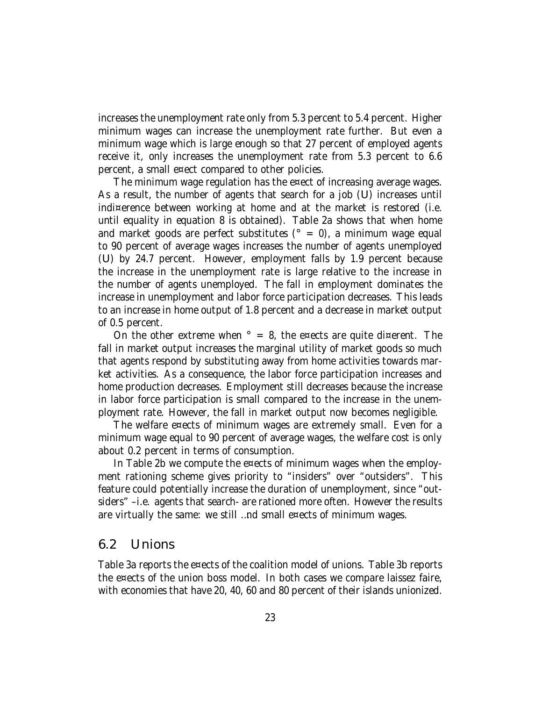increases the unemployment rate only from 5.3 percent to 5.4 percent. Higher minimum wages can increase the unemployment rate further. But even a minimum wage which is large enough so that 27 percent of employed agents receive it, only increases the unemployment rate from 5.3 percent to 6.6 percent, a small e¤ect compared to other policies.

The minimum wage regulation has the e¤ect of increasing average wages. As a result, the number of agents that search for a job (U) increases until indi¤erence between working at home and at the market is restored (i.e. until equality in equation 8 is obtained). Table 2a shows that when home and market goods are perfect substitutes ( $\degree$  = 0), a minimum wage equal to 90 percent of average wages increases the number of agents unemployed (U) by 24.7 percent. However, employment falls by 1.9 percent because the increase in the unemployment rate is large relative to the increase in the number of agents unemployed. The fall in employment dominates the increase in unemployment and labor force participation decreases. This leads to an increase in home output of 1.8 percent and a decrease in market output of 0.5 percent.

On the other extreme when  $\degree$  = 8, the e¤ects are quite di¤erent. The fall in market output increases the marginal utility of market goods so much that agents respond by substituting away from home activities towards market activities. As a consequence, the labor force participation increases and home production decreases. Employment still decreases because the increase in labor force participation is small compared to the increase in the unemployment rate. However, the fall in market output now becomes negligible.

The welfare e¤ects of minimum wages are extremely small. Even for a minimum wage equal to 90 percent of average wages, the welfare cost is only about 0.2 percent in terms of consumption.

In Table 2b we compute the e¤ects of minimum wages when the employment rationing scheme gives priority to "insiders" over "outsiders". This feature could potentially increase the duration of unemployment, since "outsiders" –i.e. agents that search- are rationed more often. However the results are virtually the same: we still …nd small e¤ects of minimum wages.

#### 6.2 Unions

Table 3a reports the e¤ects of the coalition model of unions. Table 3b reports the e¤ects of the union boss model. In both cases we compare laissez faire, with economies that have 20, 40, 60 and 80 percent of their islands unionized.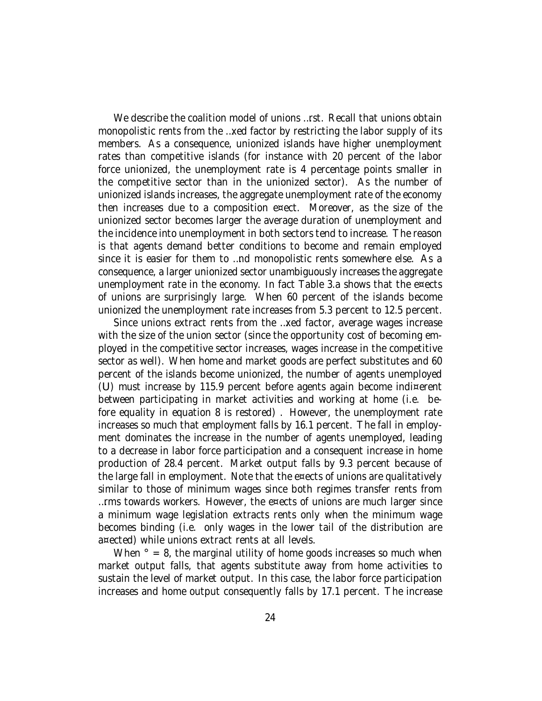We describe the coalition model of unions …rst. Recall that unions obtain monopolistic rents from the …xed factor by restricting the labor supply of its members. As a consequence, unionized islands have higher unemployment rates than competitive islands (for instance with 20 percent of the labor force unionized, the unemployment rate is 4 percentage points smaller in the competitive sector than in the unionized sector). As the number of unionized islands increases, the aggregate unemployment rate of the economy then increases due to a composition e¤ect. Moreover, as the size of the unionized sector becomes larger the average duration of unemployment and the incidence into unemployment in both sectors tend to increase. The reason is that agents demand better conditions to become and remain employed since it is easier for them to …nd monopolistic rents somewhere else. As a consequence, a larger unionized sector unambiguously increases the aggregate unemployment rate in the economy. In fact Table 3.a shows that the e¤ects of unions are surprisingly large. When 60 percent of the islands become unionized the unemployment rate increases from 5.3 percent to 12.5 percent.

Since unions extract rents from the …xed factor, average wages increase with the size of the union sector (since the opportunity cost of becoming employed in the competitive sector increases, wages increase in the competitive sector as well). When home and market goods are perfect substitutes and 60 percent of the islands become unionized, the number of agents unemployed (U) must increase by 115.9 percent before agents again become indi¤erent between participating in market activities and working at home (i.e. before equality in equation 8 is restored) . However, the unemployment rate increases so much that employment falls by 16.1 percent. The fall in employment dominates the increase in the number of agents unemployed, leading to a decrease in labor force participation and a consequent increase in home production of 28.4 percent. Market output falls by 9.3 percent because of the large fall in employment. Note that the e¤ects of unions are qualitatively similar to those of minimum wages since both regimes transfer rents from …rms towards workers. However, the e¤ects of unions are much larger since a minimum wage legislation extracts rents only when the minimum wage becomes binding (i.e. only wages in the lower tail of the distribution are a¤ected) while unions extract rents at all levels.

When  $\degree$  = 8, the marginal utility of home goods increases so much when market output falls, that agents substitute away from home activities to sustain the level of market output. In this case, the labor force participation increases and home output consequently falls by 17.1 percent. The increase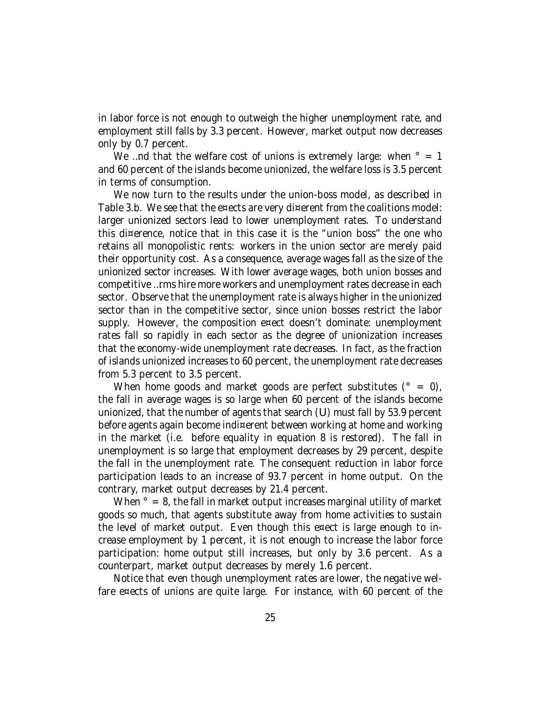in labor force is not enough to outweigh the higher unemployment rate, and employment still falls by 3.3 percent. However, market output now decreases only by 0.7 percent.

We ...nd that the welfare cost of unions is extremely large: when  $\degree$  = 1 and 60 percent of the islands become unionized, the welfare loss is 3.5 percent in terms of consumption.

We now turn to the results under the union-boss model, as described in Table 3.b. We see that the e¤ects are very di¤erent from the coalitions model: larger unionized sectors lead to lower unemployment rates. To understand this di¤erence, notice that in this case it is the "union boss" the one who retains all monopolistic rents: workers in the union sector are merely paid their opportunity cost. As a consequence, average wages fall as the size of the unionized sector increases. With lower average wages, both union bosses and competitive …rms hire more workers and unemployment rates decrease in each sector. Observe that the unemployment rate is always higher in the unionized sector than in the competitive sector, since union bosses restrict the labor supply. However, the composition e¤ect doesn't dominate: unemployment rates fall so rapidly in each sector as the degree of unionization increases that the economy-wide unemployment rate decreases. In fact, as the fraction of islands unionized increases to 60 percent, the unemployment rate decreases from 5.3 percent to 3.5 percent.

When home goods and market goods are perfect substitutes ( $\degree$  = 0), the fall in average wages is so large when 60 percent of the islands become unionized, that the number of agents that search (U) must fall by 53.9 percent before agents again become indi¤erent between working at home and working in the market (i.e. before equality in equation 8 is restored). The fall in unemployment is so large that employment decreases by 29 percent, despite the fall in the unemployment rate. The consequent reduction in labor force participation leads to an increase of 93.7 percent in home output. On the contrary, market output decreases by 21.4 percent.

When  $\degree$  = 8, the fall in market output increases marginal utility of market goods so much, that agents substitute away from home activities to sustain the level of market output. Even though this e¤ect is large enough to increase employment by 1 percent, it is not enough to increase the labor force participation: home output still increases, but only by 3.6 percent. As a counterpart, market output decreases by merely 1.6 percent.

Notice that even though unemployment rates are lower, the negative welfare e¤ects of unions are quite large. For instance, with 60 percent of the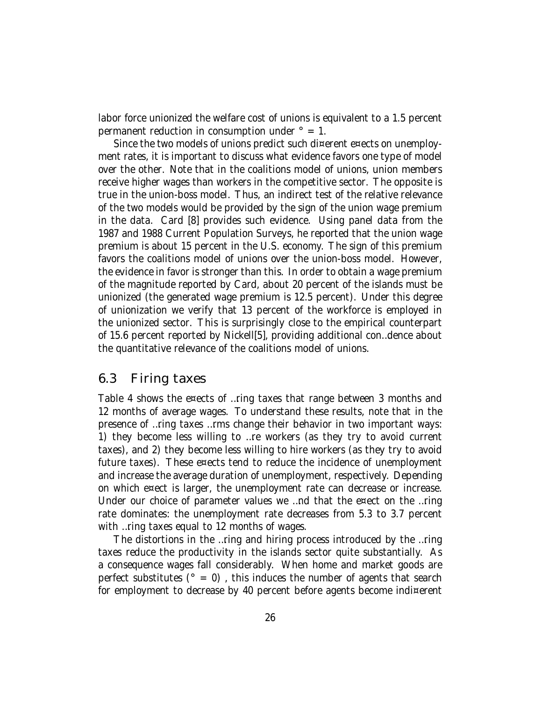labor force unionized the welfare cost of unions is equivalent to a 1.5 percent permanent reduction in consumption under  $\degree$  = 1.

Since the two models of unions predict such di¤erent e¤ects on unemployment rates, it is important to discuss what evidence favors one type of model over the other. Note that in the coalitions model of unions, union members receive higher wages than workers in the competitive sector. The opposite is true in the union-boss model. Thus, an indirect test of the relative relevance of the two models would be provided by the sign of the union wage premium in the data. Card [8] provides such evidence. Using panel data from the 1987 and 1988 Current Population Surveys, he reported that the union wage premium is about 15 percent in the U.S. economy. The sign of this premium favors the coalitions model of unions over the union-boss model. However, the evidence in favor is stronger than this. In order to obtain a wage premium of the magnitude reported by Card, about 20 percent of the islands must be unionized (the generated wage premium is 12.5 percent). Under this degree of unionization we verify that 13 percent of the workforce is employed in the unionized sector. This is surprisingly close to the empirical counterpart of 15.6 percent reported by Nickell[5], providing additional con…dence about the quantitative relevance of the coalitions model of unions.

### 6.3 Firing taxes

Table 4 shows the e¤ects of …ring taxes that range between 3 months and 12 months of average wages. To understand these results, note that in the presence of …ring taxes …rms change their behavior in two important ways: 1) they become less willing to …re workers (as they try to avoid current taxes), and 2) they become less willing to hire workers (as they try to avoid future taxes). These e¤ects tend to reduce the incidence of unemployment and increase the average duration of unemployment, respectively. Depending on which e¤ect is larger, the unemployment rate can decrease or increase. Under our choice of parameter values we …nd that the e¤ect on the …ring rate dominates: the unemployment rate decreases from 5.3 to 3.7 percent with …ring taxes equal to 12 months of wages.

The distortions in the …ring and hiring process introduced by the …ring taxes reduce the productivity in the islands sector quite substantially. As a consequence wages fall considerably. When home and market goods are perfect substitutes ( $\degree$  = 0), this induces the number of agents that search for employment to decrease by 40 percent before agents become indi¤erent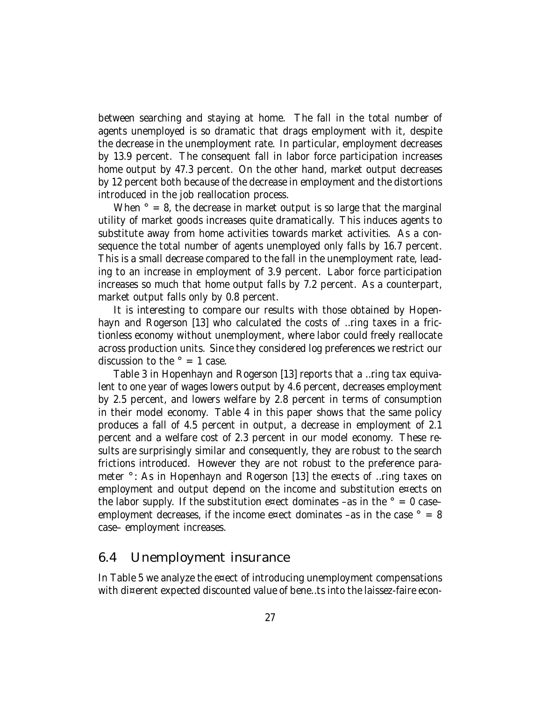between searching and staying at home. The fall in the total number of agents unemployed is so dramatic that drags employment with it, despite the decrease in the unemployment rate. In particular, employment decreases by 13.9 percent. The consequent fall in labor force participation increases home output by 47.3 percent. On the other hand, market output decreases by 12 percent both because of the decrease in employment and the distortions introduced in the job reallocation process.

When  $\degree$  = 8, the decrease in market output is so large that the marginal utility of market goods increases quite dramatically. This induces agents to substitute away from home activities towards market activities. As a consequence the total number of agents unemployed only falls by 16.7 percent. This is a small decrease compared to the fall in the unemployment rate, leading to an increase in employment of 3.9 percent. Labor force participation increases so much that home output falls by 7.2 percent. As a counterpart, market output falls only by 0.8 percent.

It is interesting to compare our results with those obtained by Hopenhayn and Rogerson [13] who calculated the costs of ...ring taxes in a frictionless economy without unemployment, where labor could freely reallocate across production units. Since they considered log preferences we restrict our discussion to the  $\degree$  = 1 case.

Table 3 in Hopenhayn and Rogerson [13] reports that a …ring tax equivalent to one year of wages lowers output by 4.6 percent, decreases employment by 2.5 percent, and lowers welfare by 2.8 percent in terms of consumption in their model economy. Table 4 in this paper shows that the same policy produces a fall of 4.5 percent in output, a decrease in employment of 2.1 percent and a welfare cost of 2.3 percent in our model economy. These results are surprisingly similar and consequently, they are robust to the search frictions introduced. However they are not robust to the preference parameter °: As in Hopenhayn and Rogerson [13] the e¤ects of …ring taxes on employment and output depend on the income and substitution e¤ects on the labor supply. If the substitution e¤ect dominates –as in the  $\degree$  = 0 case– employment decreases, if the income e¤ect dominates –as in the case  $\degree$  = 8 case– employment increases.

#### 6.4 Unemployment insurance

In Table 5 we analyze the e¤ect of introducing unemployment compensations with di¤erent expected discounted value of bene…ts into the laissez-faire econ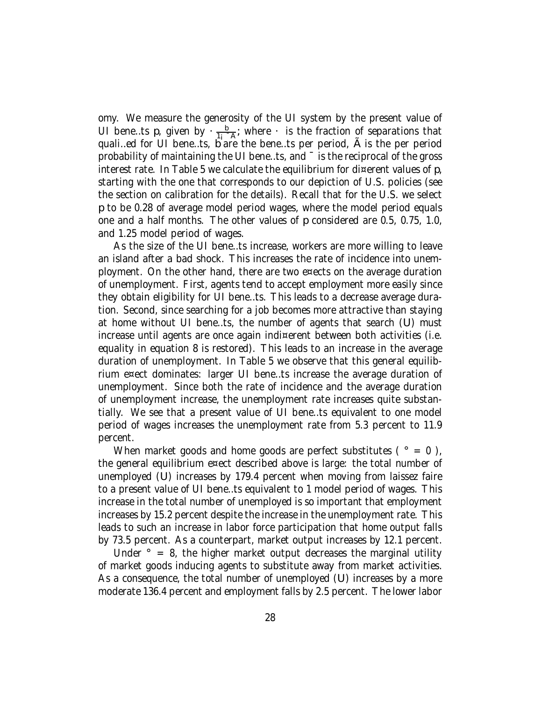omy. We measure the generosity of the UI system by the present value of UI bene…ts p, given by  $\cdot \frac{b}{1}$  $\frac{b}{1}$ ; where  $\cdot$  is the fraction of separations that quali…ed for UI bene…ts, b are the bene…ts per period, Ã is the per period probability of maintaining the UI bene…ts, and ¯ is the reciprocal of the gross interest rate. In Table 5 we calculate the equilibrium for di¤erent values of p, starting with the one that corresponds to our depiction of U.S. policies (see the section on calibration for the details). Recall that for the U.S. we select p to be 0.28 of average model period wages, where the model period equals one and a half months. The other values of p considered are 0.5, 0.75, 1.0, and 1.25 model period of wages.

As the size of the UI bene…ts increase, workers are more willing to leave an island after a bad shock. This increases the rate of incidence into unemployment. On the other hand, there are two e¤ects on the average duration of unemployment. First, agents tend to accept employment more easily since they obtain eligibility for UI bene…ts. This leads to a decrease average duration. Second, since searching for a job becomes more attractive than staying at home without UI bene…ts, the number of agents that search (U) must increase until agents are once again indi¤erent between both activities (i.e. equality in equation 8 is restored). This leads to an increase in the average duration of unemployment. In Table 5 we observe that this general equilibrium e¤ect dominates: larger UI bene…ts increase the average duration of unemployment. Since both the rate of incidence and the average duration of unemployment increase, the unemployment rate increases quite substantially. We see that a present value of UI bene…ts equivalent to one model period of wages increases the unemployment rate from 5.3 percent to 11.9 percent.

When market goods and home goods are perfect substitutes ( $\degree = 0$ ), the general equilibrium e¤ect described above is large: the total number of unemployed (U) increases by 179.4 percent when moving from laissez faire to a present value of UI bene…ts equivalent to 1 model period of wages. This increase in the total number of unemployed is so important that employment increases by 15.2 percent despite the increase in the unemployment rate. This leads to such an increase in labor force participation that home output falls by 73.5 percent. As a counterpart, market output increases by 12.1 percent.

Under  $\degree$  = 8, the higher market output decreases the marginal utility of market goods inducing agents to substitute away from market activities. As a consequence, the total number of unemployed (U) increases by a more moderate 136.4 percent and employment falls by 2.5 percent. The lower labor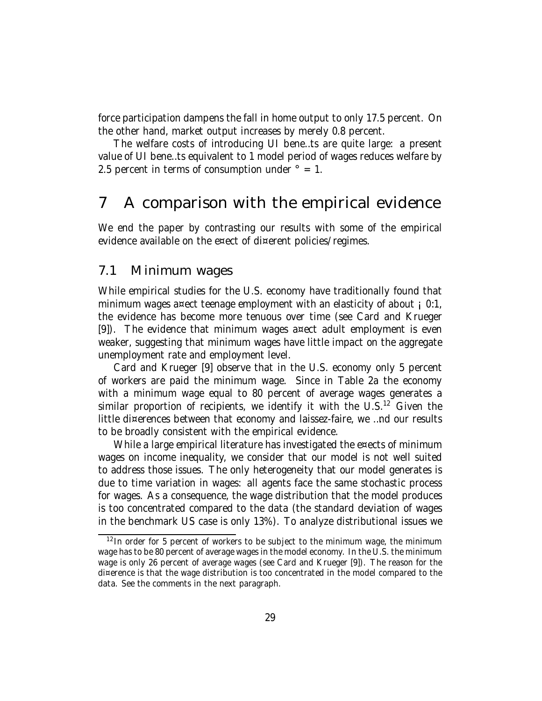force participation dampens the fall in home output to only 17.5 percent. On the other hand, market output increases by merely 0.8 percent.

The welfare costs of introducing UI bene…ts are quite large: a present value of UI bene…ts equivalent to 1 model period of wages reduces welfare by 2.5 percent in terms of consumption under  $\degree$  = 1.

## 7 A comparison with the empirical evidence

We end the paper by contrasting our results with some of the empirical evidence available on the e¤ect of di¤erent policies/regimes.

### 7.1 Minimum wages

While empirical studies for the U.S. economy have traditionally found that minimum wages a¤ect teenage employment with an elasticity of about  $\mu$  0:1, the evidence has become more tenuous over time (see Card and Krueger [9]). The evidence that minimum wages a¤ect adult employment is even weaker, suggesting that minimum wages have little impact on the aggregate unemployment rate and employment level.

Card and Krueger [9] observe that in the U.S. economy only 5 percent of workers are paid the minimum wage. Since in Table 2a the economy with a minimum wage equal to 80 percent of average wages generates a similar proportion of recipients, we identify it with the U.S.<sup>12</sup> Given the little di¤erences between that economy and laissez-faire, we …nd our results to be broadly consistent with the empirical evidence.

While a large empirical literature has investigated the e¤ects of minimum wages on income inequality, we consider that our model is not well suited to address those issues. The only heterogeneity that our model generates is due to time variation in wages: all agents face the same stochastic process for wages. As a consequence, the wage distribution that the model produces is too concentrated compared to the data (the standard deviation of wages in the benchmark US case is only 13%). To analyze distributional issues we

<sup>&</sup>lt;sup>12</sup> In order for 5 percent of workers to be subject to the minimum wage, the minimum wage has to be 80 percent of average wages in the model economy. In the U.S. the minimum wage is only 26 percent of average wages (see Card and Krueger [9]). The reason for the di¤erence is that the wage distribution is too concentrated in the model compared to the data. See the comments in the next paragraph.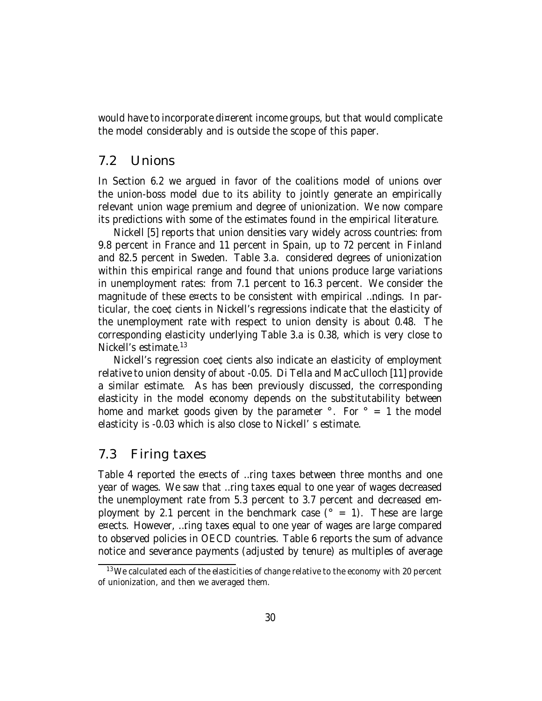would have to incorporate di¤erent income groups, but that would complicate the model considerably and is outside the scope of this paper.

### 7.2 Unions

In Section 6.2 we argued in favor of the coalitions model of unions over the union-boss model due to its ability to jointly generate an empirically relevant union wage premium and degree of unionization. We now compare its predictions with some of the estimates found in the empirical literature.

Nickell [5] reports that union densities vary widely across countries: from 9.8 percent in France and 11 percent in Spain, up to 72 percent in Finland and 82.5 percent in Sweden. Table 3.a. considered degrees of unionization within this empirical range and found that unions produce large variations in unemployment rates: from 7.1 percent to 16.3 percent. We consider the magnitude of these e¤ects to be consistent with empirical …ndings. In particular, the coe¢cients in Nickell's regressions indicate that the elasticity of the unemployment rate with respect to union density is about 0.48. The corresponding elasticity underlying Table 3.a is 0.38, which is very close to Nickell's estimate. 13

Nickell's regression coe¢cients also indicate an elasticity of employment relative to union density of about -0.05. Di Tella and MacCulloch [11] provide a similar estimate. As has been previously discussed, the corresponding elasticity in the model economy depends on the substitutability between home and market goods given by the parameter  $\degree$ . For  $\degree$  = 1 the model elasticity is -0.03 which is also close to Nickell' s estimate.

### 7.3 Firing taxes

Table 4 reported the e¤ects of …ring taxes between three months and one year of wages. We saw that …ring taxes equal to one year of wages decreased the unemployment rate from 5.3 percent to 3.7 percent and decreased employment by 2.1 percent in the benchmark case  $(° = 1)$ . These are large e¤ects. However, …ring taxes equal to one year of wages are large compared to observed policies in OECD countries. Table 6 reports the sum of advance notice and severance payments (adjusted by tenure) as multiples of average

 $13$  We calculated each of the elasticities of change relative to the economy with 20 percent of unionization, and then we averaged them.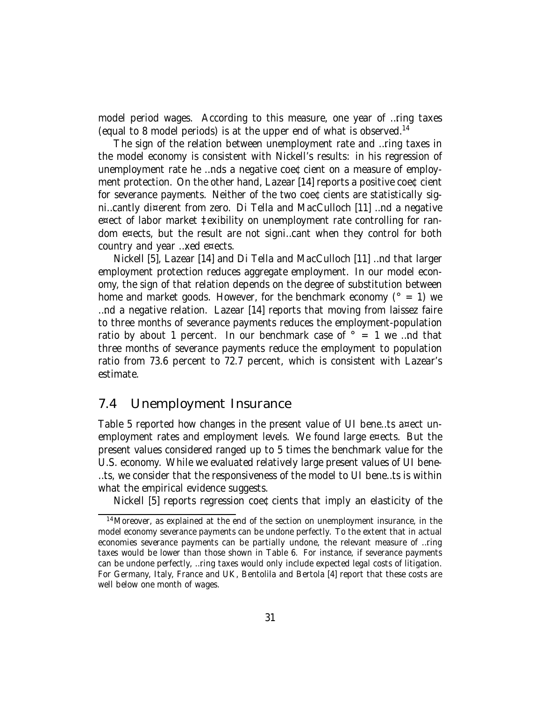model period wages. According to this measure, one year of …ring taxes (equal to 8 model periods) is at the upper end of what is observed. 14

The sign of the relation between unemployment rate and …ring taxes in the model economy is consistent with Nickell's results: in his regression of unemployment rate he …nds a negative coe¢cient on a measure of employment protection. On the other hand, Lazear [14] reports a positive coe¢cient for severance payments. Neither of the two coe¢cients are statistically signi…cantly di¤erent from zero. Di Tella and MacCulloch [11] …nd a negative e¤ect of labor market ‡exibility on unemployment rate controlling for random e¤ects, but the result are not signi…cant when they control for both country and year …xed e¤ects.

Nickell [5], Lazear [14] and Di Tella and MacCulloch [11] …nd that larger employment protection reduces aggregate employment. In our model economy, the sign of that relation depends on the degree of substitution between home and market goods. However, for the benchmark economy ( $\degree$  = 1) we …nd a negative relation. Lazear [14] reports that moving from laissez faire to three months of severance payments reduces the employment-population ratio by about 1 percent. In our benchmark case of  $\degree$  = 1 we ...nd that three months of severance payments reduce the employment to population ratio from 73.6 percent to 72.7 percent, which is consistent with Lazear's estimate.

### 7.4 Unemployment Insurance

Table 5 reported how changes in the present value of UI bene…ts a¤ect unemployment rates and employment levels. We found large e¤ects. But the present values considered ranged up to 5 times the benchmark value for the U.S. economy. While we evaluated relatively large present values of UI bene- …ts, we consider that the responsiveness of the model to UI bene…ts is within what the empirical evidence suggests.

Nickell [5] reports regression coe¢cients that imply an elasticity of the

<sup>&</sup>lt;sup>14</sup> Moreover, as explained at the end of the section on unemployment insurance, in the model economy severance payments can be undone perfectly. To the extent that in actual economies severance payments can be partially undone, the relevant measure of …ring taxes would be lower than those shown in Table 6. For instance, if severance payments can be undone perfectly, …ring taxes would only include expected legal costs of litigation. For Germany, Italy, France and UK, Bentolila and Bertola [4] report that these costs are well below one month of wages.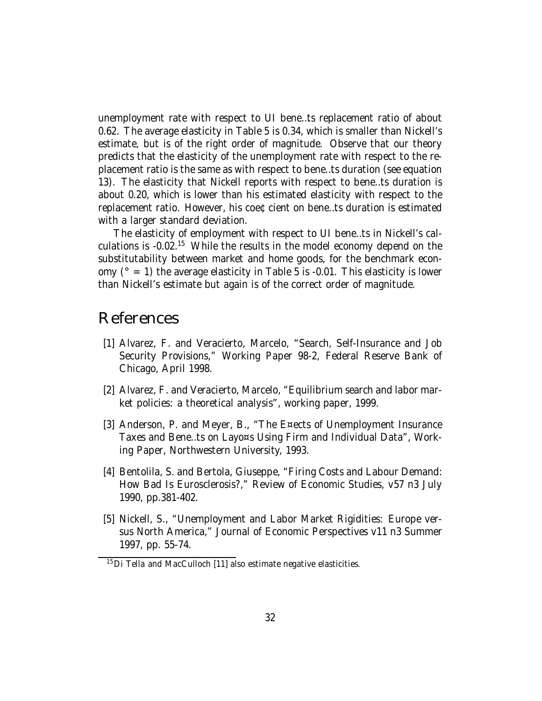unemployment rate with respect to UI bene…ts replacement ratio of about 0.62. The average elasticity in Table 5 is 0.34, which is smaller than Nickell's estimate, but is of the right order of magnitude. Observe that our theory predicts that the elasticity of the unemployment rate with respect to the replacement ratio is the same as with respect to bene…ts duration (see equation 13). The elasticity that Nickell reports with respect to bene…ts duration is about 0.20, which is lower than his estimated elasticity with respect to the replacement ratio. However, his coe¢cient on bene…ts duration is estimated with a larger standard deviation.

The elasticity of employment with respect to UI bene…ts in Nickell's calculations is -0.02.<sup>15</sup> While the results in the model economy depend on the substitutability between market and home goods, for the benchmark economy ( $\degree$  = 1) the average elasticity in Table 5 is -0.01. This elasticity is lower than Nickell's estimate but again is of the correct order of magnitude.

## References

- [1] Alvarez, F. and Veracierto, Marcelo, "Search, Self-Insurance and Job Security Provisions," Working Paper 98-2, Federal Reserve Bank of Chicago, April 1998.
- [2] Alvarez, F. and Veracierto, Marcelo, "Equilibrium search and labor market policies: a theoretical analysis", working paper, 1999.
- [3] Anderson, P. and Meyer, B., "The E¤ects of Unemployment Insurance Taxes and Bene…ts on Layo¤s Using Firm and Individual Data", Working Paper, Northwestern University, 1993.
- [4] Bentolila, S. and Bertola, Giuseppe, "Firing Costs and Labour Demand: How Bad Is Eurosclerosis?," Review of Economic Studies, v57 n3 July 1990, pp.381-402.
- [5] Nickell, S., "Unemployment and Labor Market Rigidities: Europe versus North America," Journal of Economic Perspectives v11 n3 Summer 1997, pp. 55-74.

 $15$ Di Tella and MacCulloch [11] also estimate negative elasticities.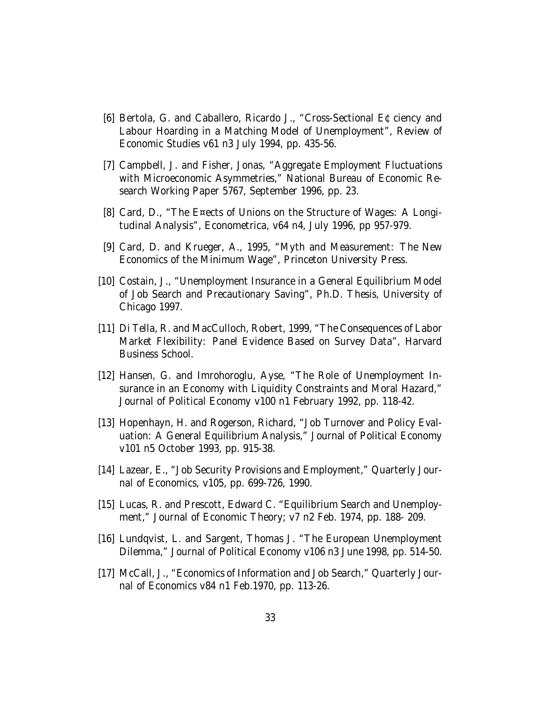- [6] Bertola, G. and Caballero, Ricardo J., "Cross-Sectional E¢ciency and Labour Hoarding in a Matching Model of Unemployment", Review of Economic Studies v61 n3 July 1994, pp. 435-56.
- [7] Campbell, J. and Fisher, Jonas, "Aggregate Employment Fluctuations with Microeconomic Asymmetries," National Bureau of Economic Research Working Paper 5767, September 1996, pp. 23.
- [8] Card, D., "The E¤ects of Unions on the Structure of Wages: A Longitudinal Analysis", Econometrica, v64 n4, July 1996, pp 957-979.
- [9] Card, D. and Krueger, A., 1995, "Myth and Measurement: The New Economics of the Minimum Wage", Princeton University Press.
- [10] Costain, J., "Unemployment Insurance in a General Equilibrium Model of Job Search and Precautionary Saving", Ph.D. Thesis, University of Chicago 1997.
- [11] Di Tella, R. and MacCulloch, Robert, 1999, "The Consequences of Labor Market Flexibility: Panel Evidence Based on Survey Data", Harvard Business School.
- [12] Hansen, G. and Imrohoroglu, Ayse, "The Role of Unemployment Insurance in an Economy with Liquidity Constraints and Moral Hazard," Journal of Political Economy v100 n1 February 1992, pp. 118-42.
- [13] Hopenhayn, H. and Rogerson, Richard, "Job Turnover and Policy Evaluation: A General Equilibrium Analysis," Journal of Political Economy v101 n5 October 1993, pp. 915-38.
- [14] Lazear, E., "Job Security Provisions and Employment," Quarterly Journal of Economics, v105, pp. 699-726, 1990.
- [15] Lucas, R. and Prescott, Edward C. "Equilibrium Search and Unemployment," Journal of Economic Theory; v7 n2 Feb. 1974, pp. 188- 209.
- [16] Lundqvist, L. and Sargent, Thomas J. "The European Unemployment Dilemma," Journal of Political Economy v106 n3 June 1998, pp. 514-50.
- [17] McCall, J., "Economics of Information and Job Search," Quarterly Journal of Economics v84 n1 Feb.1970, pp. 113-26.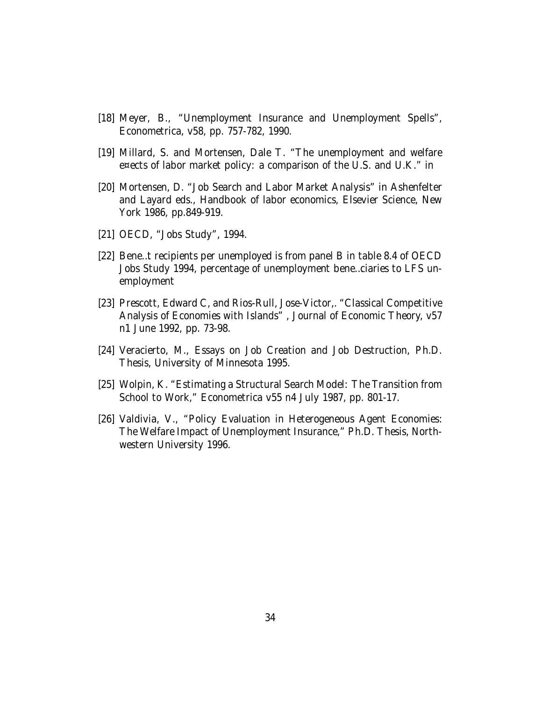- [18] Meyer, B., "Unemployment Insurance and Unemployment Spells", Econometrica, v58, pp. 757-782, 1990.
- [19] Millard, S. and Mortensen, Dale T. "The unemployment and welfare e¤ects of labor market policy: a comparison of the U.S. and U.K." in
- [20] Mortensen, D. "Job Search and Labor Market Analysis" in Ashenfelter and Layard eds., Handbook of labor economics, Elsevier Science, New York 1986, pp.849-919.
- [21] OECD, "Jobs Study", 1994.
- [22] Bene…t recipients per unemployed is from panel B in table 8.4 of OECD Jobs Study 1994, percentage of unemployment bene…ciaries to LFS unemployment
- [23] Prescott, Edward C, and Rios-Rull, Jose-Victor,. "Classical Competitive Analysis of Economies with Islands" , Journal of Economic Theory, v57 n1 June 1992, pp. 73-98.
- [24] Veracierto, M., Essays on Job Creation and Job Destruction, Ph.D. Thesis, University of Minnesota 1995.
- [25] Wolpin, K. "Estimating a Structural Search Model: The Transition from School to Work," Econometrica v55 n4 July 1987, pp. 801-17.
- [26] Valdivia, V., "Policy Evaluation in Heterogeneous Agent Economies: The Welfare Impact of Unemployment Insurance," Ph.D. Thesis, Northwestern University 1996.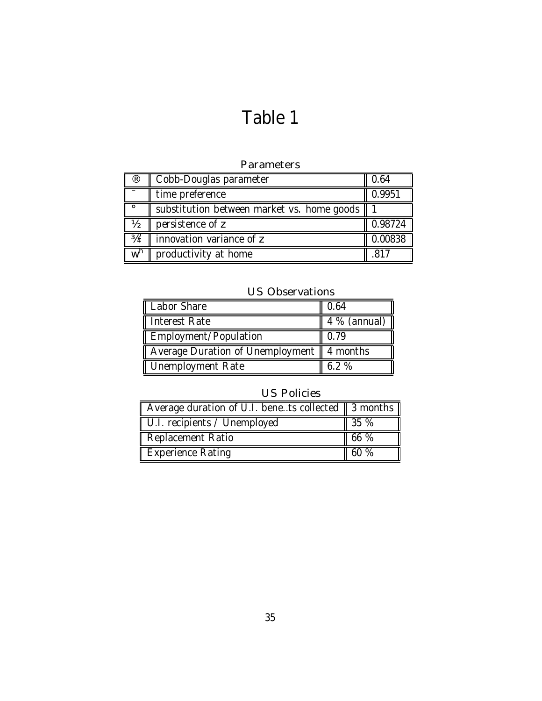# Table 1

### Parameters

| ®              | Cobb-Douglas parameter                     | 0.64    |
|----------------|--------------------------------------------|---------|
|                | time preference                            | 0.9951  |
| $\circ$        | substitution between market vs. home goods |         |
| $\frac{1}{2}$  | persistence of z                           | 0.98724 |
| $4^{3}/4^2$    | innovation variance of z                   | 0.00838 |
| w <sup>h</sup> | productivity at home                       | .817    |

### US Observations

| Labor Share                                 | 0.64           |
|---------------------------------------------|----------------|
| Interest Rate                               | $4\%$ (annual) |
| Employment/Population                       | 0.79           |
| Average Duration of Unemployment   4 months |                |
| Unemployment Rate                           | 6.2%           |

### US Policies

| Average duration of U.I. benets collected $\parallel$ 3 months $\parallel$ |         |
|----------------------------------------------------------------------------|---------|
| U.I. recipients / Unemployed                                               | 35 %    |
| Replacement Ratio                                                          | $166\%$ |
| Experience Rating                                                          | 60 %    |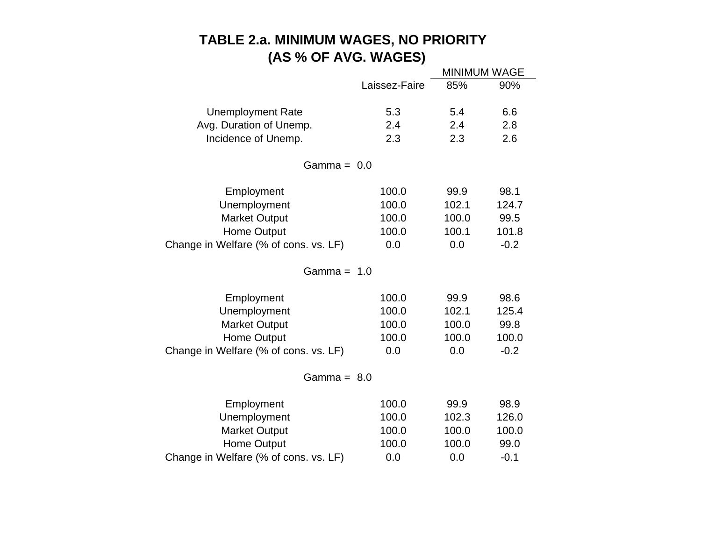## **TABLE 2.a. MINIMUM WAGES, NO PRIORITY (AS % OF AVG. WAGES)**

|                                       |               | <b>MINIMUM WAGE</b> |        |
|---------------------------------------|---------------|---------------------|--------|
|                                       | Laissez-Faire | 85%                 | 90%    |
|                                       |               |                     |        |
| <b>Unemployment Rate</b>              | 5.3           | 5.4                 | 6.6    |
| Avg. Duration of Unemp.               | 2.4           | 2.4                 | 2.8    |
| Incidence of Unemp.                   | 2.3           | 2.3                 | 2.6    |
| Gamma = $0.0$                         |               |                     |        |
| Employment                            | 100.0         | 99.9                | 98.1   |
| Unemployment                          | 100.0         | 102.1               | 124.7  |
| <b>Market Output</b>                  | 100.0         | 100.0               | 99.5   |
| <b>Home Output</b>                    | 100.0         | 100.1               | 101.8  |
| Change in Welfare (% of cons. vs. LF) | 0.0           | 0.0                 | $-0.2$ |
| Gamma = $1.0$                         |               |                     |        |
| Employment                            | 100.0         | 99.9                | 98.6   |
| Unemployment                          | 100.0         | 102.1               | 125.4  |
| <b>Market Output</b>                  | 100.0         | 100.0               | 99.8   |
| <b>Home Output</b>                    | 100.0         | 100.0               | 100.0  |
| Change in Welfare (% of cons. vs. LF) | 0.0           | 0.0                 | $-0.2$ |
| Gamma = $8.0$                         |               |                     |        |
| Employment                            | 100.0         | 99.9                | 98.9   |
| Unemployment                          | 100.0         | 102.3               | 126.0  |
| <b>Market Output</b>                  | 100.0         | 100.0               | 100.0  |
| <b>Home Output</b>                    | 100.0         | 100.0               | 99.0   |
| Change in Welfare (% of cons. vs. LF) | 0.0           | 0.0                 | $-0.1$ |
|                                       |               |                     |        |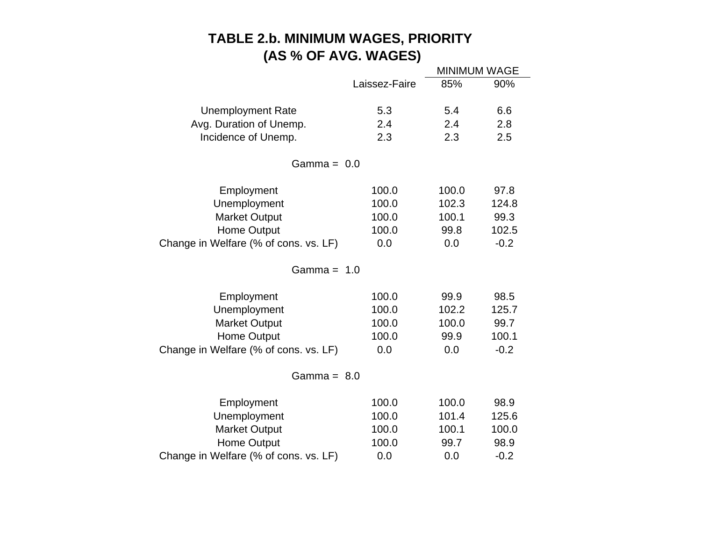## **TABLE 2.b. MINIMUM WAGES, PRIORITY (AS % OF AVG. WAGES)**

|                                       |               | <b>MINIMUM WAGE</b> |        |
|---------------------------------------|---------------|---------------------|--------|
|                                       | Laissez-Faire | 85%                 | 90%    |
|                                       |               |                     |        |
| <b>Unemployment Rate</b>              | 5.3           | 5.4                 | 6.6    |
| Avg. Duration of Unemp.               | 2.4           | 2.4                 | 2.8    |
| Incidence of Unemp.                   | 2.3           | 2.3                 | 2.5    |
| Gamma = $0.0$                         |               |                     |        |
| Employment                            | 100.0         | 100.0               | 97.8   |
| Unemployment                          | 100.0         | 102.3               | 124.8  |
| <b>Market Output</b>                  | 100.0         | 100.1               | 99.3   |
| <b>Home Output</b>                    | 100.0         | 99.8                | 102.5  |
| Change in Welfare (% of cons. vs. LF) | 0.0           | 0.0                 | $-0.2$ |
| Gamma = $1.0$                         |               |                     |        |
| Employment                            | 100.0         | 99.9                | 98.5   |
| Unemployment                          | 100.0         | 102.2               | 125.7  |
| <b>Market Output</b>                  | 100.0         | 100.0               | 99.7   |
| <b>Home Output</b>                    | 100.0         | 99.9                | 100.1  |
| Change in Welfare (% of cons. vs. LF) | 0.0           | 0.0                 | $-0.2$ |
| Gamma = $8.0$                         |               |                     |        |
| Employment                            | 100.0         | 100.0               | 98.9   |
| Unemployment                          | 100.0         | 101.4               | 125.6  |
| <b>Market Output</b>                  | 100.0         | 100.1               | 100.0  |
| Home Output                           | 100.0         | 99.7                | 98.9   |
| Change in Welfare (% of cons. vs. LF) | 0.0           | 0.0                 | $-0.2$ |
|                                       |               |                     |        |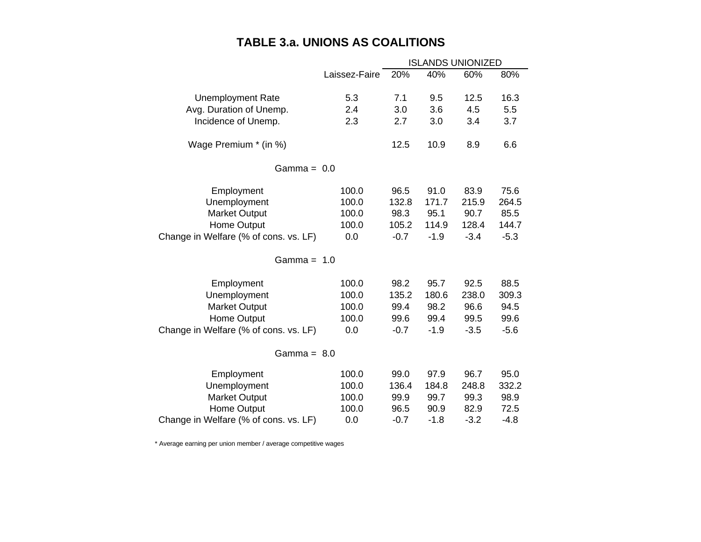## **TABLE 3.a. UNIONS AS COALITIONS**

|                                       | <b>ISLANDS UNIONIZED</b> |        |        |        |        |
|---------------------------------------|--------------------------|--------|--------|--------|--------|
|                                       | Laissez-Faire            | 20%    | 40%    | 60%    | 80%    |
|                                       |                          |        |        |        |        |
| <b>Unemployment Rate</b>              | 5.3                      | 7.1    | 9.5    | 12.5   | 16.3   |
| Avg. Duration of Unemp.               | 2.4                      | 3.0    | 3.6    | 4.5    | 5.5    |
| Incidence of Unemp.                   | 2.3                      | 2.7    | 3.0    | 3.4    | 3.7    |
| Wage Premium * (in %)                 |                          | 12.5   | 10.9   | 8.9    | 6.6    |
| Gamma = $0.0$                         |                          |        |        |        |        |
| Employment                            | 100.0                    | 96.5   | 91.0   | 83.9   | 75.6   |
| Unemployment                          | 100.0                    | 132.8  | 171.7  | 215.9  | 264.5  |
| <b>Market Output</b>                  | 100.0                    | 98.3   | 95.1   | 90.7   | 85.5   |
| <b>Home Output</b>                    | 100.0                    | 105.2  | 114.9  | 128.4  | 144.7  |
| Change in Welfare (% of cons. vs. LF) | 0.0                      | $-0.7$ | $-1.9$ | $-3.4$ | $-5.3$ |
| Gamma = $1.0$                         |                          |        |        |        |        |
| Employment                            | 100.0                    | 98.2   | 95.7   | 92.5   | 88.5   |
| Unemployment                          | 100.0                    | 135.2  | 180.6  | 238.0  | 309.3  |
| <b>Market Output</b>                  | 100.0                    | 99.4   | 98.2   | 96.6   | 94.5   |
| Home Output                           | 100.0                    | 99.6   | 99.4   | 99.5   | 99.6   |
| Change in Welfare (% of cons. vs. LF) | 0.0                      | $-0.7$ | $-1.9$ | $-3.5$ | $-5.6$ |
| Gamma = $8.0$                         |                          |        |        |        |        |
| Employment                            | 100.0                    | 99.0   | 97.9   | 96.7   | 95.0   |
| Unemployment                          | 100.0                    | 136.4  | 184.8  | 248.8  | 332.2  |
| <b>Market Output</b>                  | 100.0                    | 99.9   | 99.7   | 99.3   | 98.9   |
| Home Output                           | 100.0                    | 96.5   | 90.9   | 82.9   | 72.5   |
| Change in Welfare (% of cons. vs. LF) | 0.0                      | $-0.7$ | $-1.8$ | $-3.2$ | $-4.8$ |

\* Average earning per union member / average competitive wages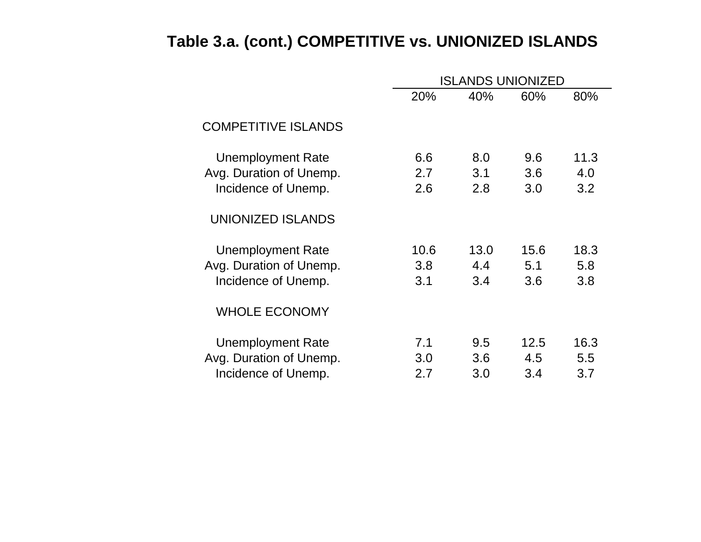# **Table 3.a. (cont.) COMPETITIVE vs. UNIONIZED ISLANDS**

|                            |      | ISLANDS UNIONIZED |      |      |  |  |
|----------------------------|------|-------------------|------|------|--|--|
|                            | 20%  | 40%               | 60%  | 80%  |  |  |
| <b>COMPETITIVE ISLANDS</b> |      |                   |      |      |  |  |
| <b>Unemployment Rate</b>   | 6.6  | 8.0               | 9.6  | 11.3 |  |  |
| Avg. Duration of Unemp.    | 2.7  | 3.1               | 3.6  | 4.0  |  |  |
| Incidence of Unemp.        | 2.6  | 2.8               | 3.0  | 3.2  |  |  |
| UNIONIZED ISLANDS          |      |                   |      |      |  |  |
| Unemployment Rate          | 10.6 | 13.0              | 15.6 | 18.3 |  |  |
| Avg. Duration of Unemp.    | 3.8  | 4.4               | 5.1  | 5.8  |  |  |
| Incidence of Unemp.        | 3.1  | 3.4               | 3.6  | 3.8  |  |  |
| <b>WHOLE ECONOMY</b>       |      |                   |      |      |  |  |
| Unemployment Rate          | 7.1  | 9.5               | 12.5 | 16.3 |  |  |
| Avg. Duration of Unemp.    | 3.0  | 3.6               | 4.5  | 5.5  |  |  |
| Incidence of Unemp.        | 2.7  | 3.0               | 3.4  | 3.7  |  |  |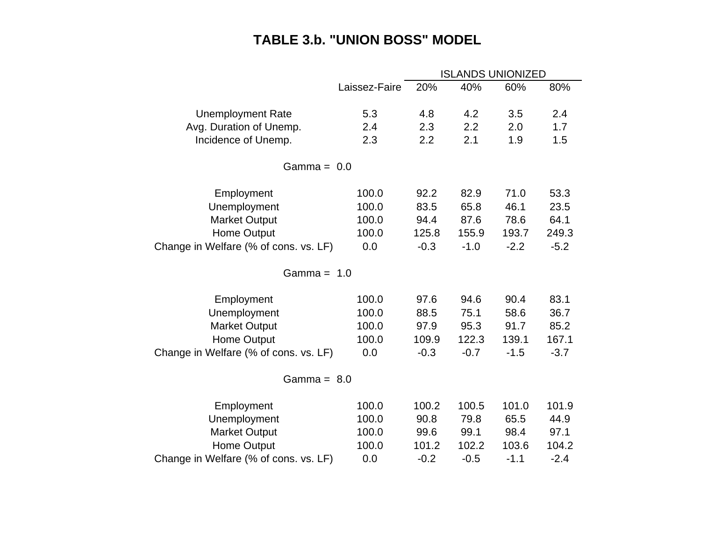## **TABLE 3.b. "UNION BOSS" MODEL**

|                                       | <b>ISLANDS UNIONIZED</b> |        |        |        |        |
|---------------------------------------|--------------------------|--------|--------|--------|--------|
|                                       | Laissez-Faire            | 20%    | 40%    | 60%    | 80%    |
| <b>Unemployment Rate</b>              | 5.3                      | 4.8    | 4.2    | 3.5    | 2.4    |
| Avg. Duration of Unemp.               | 2.4                      | 2.3    | 2.2    | 2.0    | 1.7    |
| Incidence of Unemp.                   | 2.3                      | 2.2    | 2.1    | 1.9    | 1.5    |
| Gamma = $0.0$                         |                          |        |        |        |        |
| Employment                            | 100.0                    | 92.2   | 82.9   | 71.0   | 53.3   |
| Unemployment                          | 100.0                    | 83.5   | 65.8   | 46.1   | 23.5   |
| <b>Market Output</b>                  | 100.0                    | 94.4   | 87.6   | 78.6   | 64.1   |
| <b>Home Output</b>                    | 100.0                    | 125.8  | 155.9  | 193.7  | 249.3  |
| Change in Welfare (% of cons. vs. LF) | 0.0                      | $-0.3$ | $-1.0$ | $-2.2$ | $-5.2$ |
| Gamma = $1.0$                         |                          |        |        |        |        |
| Employment                            | 100.0                    | 97.6   | 94.6   | 90.4   | 83.1   |
| Unemployment                          | 100.0                    | 88.5   | 75.1   | 58.6   | 36.7   |
| <b>Market Output</b>                  | 100.0                    | 97.9   | 95.3   | 91.7   | 85.2   |
| <b>Home Output</b>                    | 100.0                    | 109.9  | 122.3  | 139.1  | 167.1  |
| Change in Welfare (% of cons. vs. LF) | 0.0                      | $-0.3$ | $-0.7$ | $-1.5$ | $-3.7$ |
| Gamma = $8.0$                         |                          |        |        |        |        |
| Employment                            | 100.0                    | 100.2  | 100.5  | 101.0  | 101.9  |
| Unemployment                          | 100.0                    | 90.8   | 79.8   | 65.5   | 44.9   |
| <b>Market Output</b>                  | 100.0                    | 99.6   | 99.1   | 98.4   | 97.1   |
| Home Output                           | 100.0                    | 101.2  | 102.2  | 103.6  | 104.2  |
| Change in Welfare (% of cons. vs. LF) | 0.0                      | $-0.2$ | $-0.5$ | $-1.1$ | $-2.4$ |
|                                       |                          |        |        |        |        |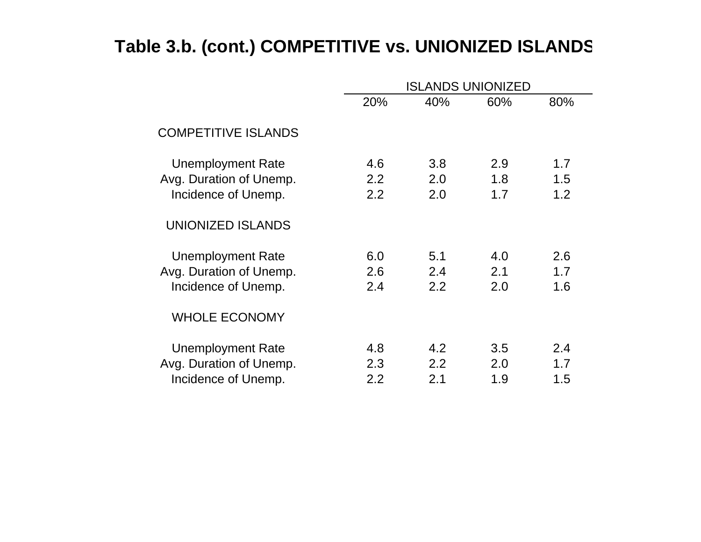# **Table 3.b. (cont.) COMPETITIVE vs. UNIONIZED ISLANDS**

|                                                                            | <b>ISLANDS UNIONIZED</b>       |                   |                   |                   |  |  |
|----------------------------------------------------------------------------|--------------------------------|-------------------|-------------------|-------------------|--|--|
|                                                                            | 20%                            | 40%               | 60%               | 80%               |  |  |
| <b>COMPETITIVE ISLANDS</b>                                                 |                                |                   |                   |                   |  |  |
| <b>Unemployment Rate</b><br>Avg. Duration of Unemp.<br>Incidence of Unemp. | 4.6<br>$2.2^{\circ}$<br>2.2    | 3.8<br>2.0<br>2.0 | 2.9<br>1.8<br>1.7 | 1.7<br>1.5<br>1.2 |  |  |
| <b>UNIONIZED ISLANDS</b>                                                   |                                |                   |                   |                   |  |  |
| Unemployment Rate<br>Avg. Duration of Unemp.<br>Incidence of Unemp.        | 6.0<br>2.6<br>2.4              | 5.1<br>2.4<br>2.2 | 4.0<br>2.1<br>2.0 | 2.6<br>1.7<br>1.6 |  |  |
| <b>WHOLE ECONOMY</b>                                                       |                                |                   |                   |                   |  |  |
| <b>Unemployment Rate</b><br>Avg. Duration of Unemp.<br>Incidence of Unemp. | 4.8<br>2.3<br>$2.2\phantom{0}$ | 4.2<br>2.2<br>2.1 | 3.5<br>2.0<br>1.9 | 2.4<br>1.7<br>1.5 |  |  |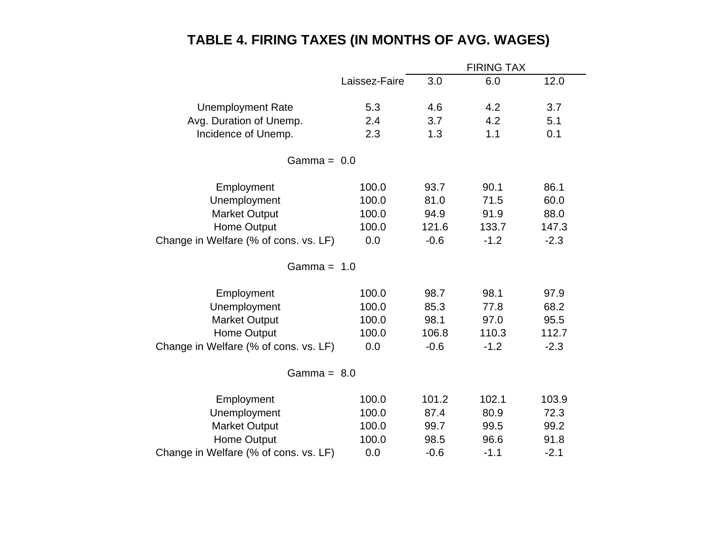## **TABLE 4. FIRING TAXES (IN MONTHS OF AVG. WAGES)**

|                                       | <b>FIRING TAX</b> |        |        |        |  |
|---------------------------------------|-------------------|--------|--------|--------|--|
|                                       | Laissez-Faire     | 3.0    | 6.0    | 12.0   |  |
| <b>Unemployment Rate</b>              | 5.3               | 4.6    | 4.2    | 3.7    |  |
| Avg. Duration of Unemp.               | 2.4               | 3.7    | 4.2    | 5.1    |  |
| Incidence of Unemp.                   | 2.3               | 1.3    | 1.1    | 0.1    |  |
| Gamma = $0.0$                         |                   |        |        |        |  |
| Employment                            | 100.0             | 93.7   | 90.1   | 86.1   |  |
| Unemployment                          | 100.0             | 81.0   | 71.5   | 60.0   |  |
| <b>Market Output</b>                  | 100.0             | 94.9   | 91.9   | 88.0   |  |
| <b>Home Output</b>                    | 100.0             | 121.6  | 133.7  | 147.3  |  |
| Change in Welfare (% of cons. vs. LF) | 0.0               | $-0.6$ | $-1.2$ | $-2.3$ |  |
| Gamma = $1.0$                         |                   |        |        |        |  |
| Employment                            | 100.0             | 98.7   | 98.1   | 97.9   |  |
| Unemployment                          | 100.0             | 85.3   | 77.8   | 68.2   |  |
| <b>Market Output</b>                  | 100.0             | 98.1   | 97.0   | 95.5   |  |
| <b>Home Output</b>                    | 100.0             | 106.8  | 110.3  | 112.7  |  |
| Change in Welfare (% of cons. vs. LF) | 0.0               | $-0.6$ | $-1.2$ | $-2.3$ |  |
| Gamma = $8.0$                         |                   |        |        |        |  |
| Employment                            | 100.0             | 101.2  | 102.1  | 103.9  |  |
| Unemployment                          | 100.0             | 87.4   | 80.9   | 72.3   |  |
| <b>Market Output</b>                  | 100.0             | 99.7   | 99.5   | 99.2   |  |
| Home Output                           | 100.0             | 98.5   | 96.6   | 91.8   |  |
| Change in Welfare (% of cons. vs. LF) | 0.0               | $-0.6$ | $-1.1$ | $-2.1$ |  |
|                                       |                   |        |        |        |  |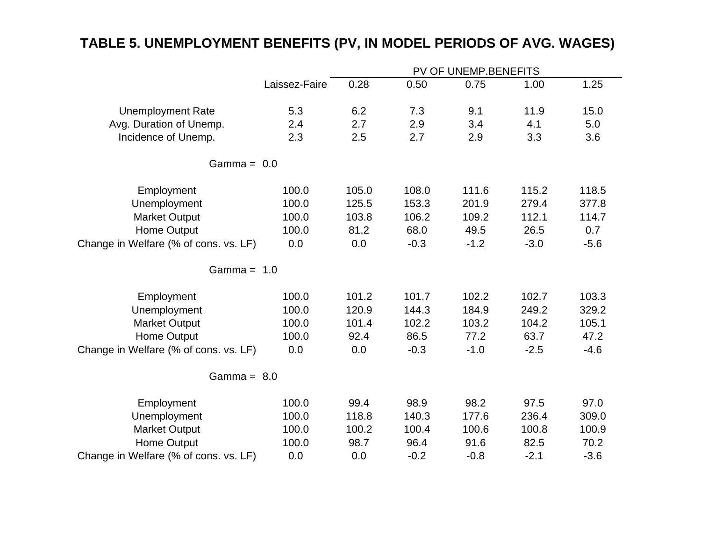## **TABLE 5. UNEMPLOYMENT BENEFITS (PV, IN MODEL PERIODS OF AVG. WAGES)**

|                                       | PV OF UNEMP.BENEFITS |       |        |        |        |        |  |  |
|---------------------------------------|----------------------|-------|--------|--------|--------|--------|--|--|
|                                       | Laissez-Faire        | 0.28  | 0.50   | 0.75   | 1.00   | 1.25   |  |  |
| <b>Unemployment Rate</b>              | 5.3                  | 6.2   | 7.3    | 9.1    | 11.9   | 15.0   |  |  |
| Avg. Duration of Unemp.               | 2.4                  | 2.7   | 2.9    | 3.4    | 4.1    | 5.0    |  |  |
| Incidence of Unemp.                   | 2.3                  | 2.5   | 2.7    | 2.9    | 3.3    | 3.6    |  |  |
| Gamma = $0.0$                         |                      |       |        |        |        |        |  |  |
| Employment                            | 100.0                | 105.0 | 108.0  | 111.6  | 115.2  | 118.5  |  |  |
| Unemployment                          | 100.0                | 125.5 | 153.3  | 201.9  | 279.4  | 377.8  |  |  |
| <b>Market Output</b>                  | 100.0                | 103.8 | 106.2  | 109.2  | 112.1  | 114.7  |  |  |
| <b>Home Output</b>                    | 100.0                | 81.2  | 68.0   | 49.5   | 26.5   | 0.7    |  |  |
| Change in Welfare (% of cons. vs. LF) | 0.0                  | 0.0   | $-0.3$ | $-1.2$ | $-3.0$ | $-5.6$ |  |  |
| Gamma = $1.0$                         |                      |       |        |        |        |        |  |  |
| Employment                            | 100.0                | 101.2 | 101.7  | 102.2  | 102.7  | 103.3  |  |  |
| Unemployment                          | 100.0                | 120.9 | 144.3  | 184.9  | 249.2  | 329.2  |  |  |
| <b>Market Output</b>                  | 100.0                | 101.4 | 102.2  | 103.2  | 104.2  | 105.1  |  |  |
| Home Output                           | 100.0                | 92.4  | 86.5   | 77.2   | 63.7   | 47.2   |  |  |
| Change in Welfare (% of cons. vs. LF) | 0.0                  | 0.0   | $-0.3$ | $-1.0$ | $-2.5$ | $-4.6$ |  |  |
| Gamma = $8.0$                         |                      |       |        |        |        |        |  |  |
| Employment                            | 100.0                | 99.4  | 98.9   | 98.2   | 97.5   | 97.0   |  |  |
| Unemployment                          | 100.0                | 118.8 | 140.3  | 177.6  | 236.4  | 309.0  |  |  |
| <b>Market Output</b>                  | 100.0                | 100.2 | 100.4  | 100.6  | 100.8  | 100.9  |  |  |
| Home Output                           | 100.0                | 98.7  | 96.4   | 91.6   | 82.5   | 70.2   |  |  |
| Change in Welfare (% of cons. vs. LF) | 0.0                  | 0.0   | $-0.2$ | $-0.8$ | $-2.1$ | $-3.6$ |  |  |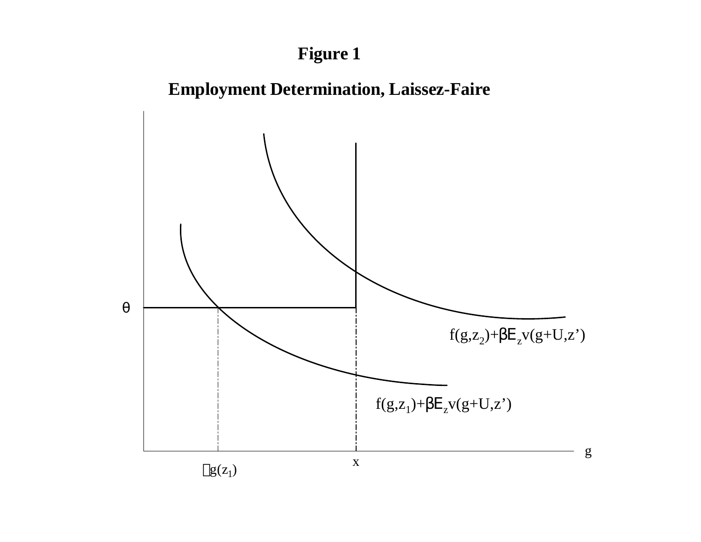# **Figure 1**



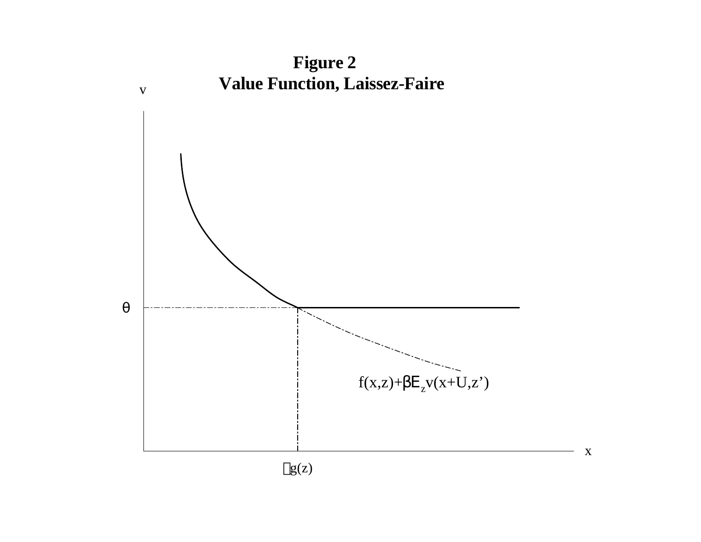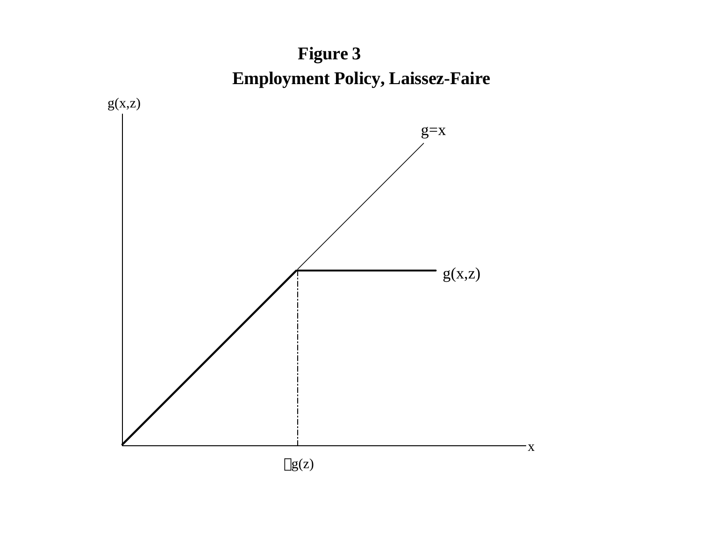# **Employment Policy, Laissez-Faire Figure 3**

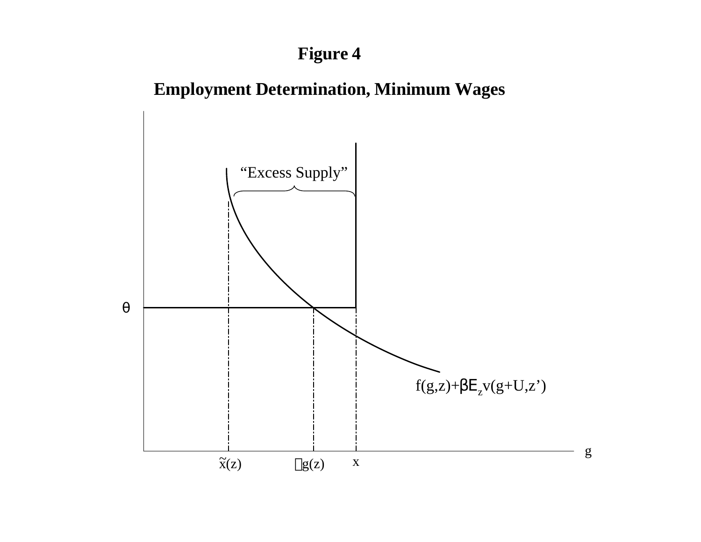# **Figure 4**

# **Employment Determination, Minimum Wages**

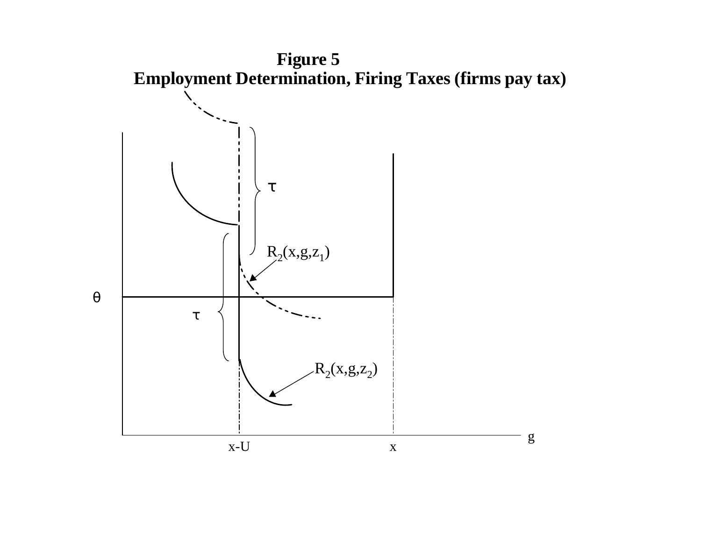![](_page_49_Figure_0.jpeg)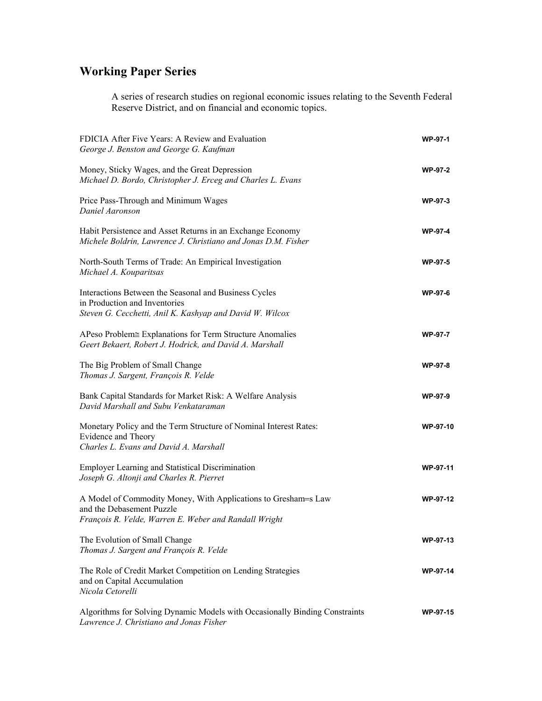## **Working Paper Series**

A series of research studies on regional economic issues relating to the Seventh Federal Reserve District, and on financial and economic topics.

| FDICIA After Five Years: A Review and Evaluation<br>George J. Benston and George G. Kaufman                                                          | WP-97-1         |
|------------------------------------------------------------------------------------------------------------------------------------------------------|-----------------|
| Money, Sticky Wages, and the Great Depression<br>Michael D. Bordo, Christopher J. Erceg and Charles L. Evans                                         | <b>WP-97-2</b>  |
| Price Pass-Through and Minimum Wages<br>Daniel Aaronson                                                                                              | <b>WP-97-3</b>  |
| Habit Persistence and Asset Returns in an Exchange Economy<br>Michele Boldrin, Lawrence J. Christiano and Jonas D.M. Fisher                          | <b>WP-97-4</b>  |
| North-South Terms of Trade: An Empirical Investigation<br>Michael A. Kouparitsas                                                                     | WP-97-5         |
| Interactions Between the Seasonal and Business Cycles<br>in Production and Inventories<br>Steven G. Cecchetti, Anil K. Kashyap and David W. Wilcox   | WP-97-6         |
| APeso Problem≅ Explanations for Term Structure Anomalies<br>Geert Bekaert, Robert J. Hodrick, and David A. Marshall                                  | <b>WP-97-7</b>  |
| The Big Problem of Small Change<br>Thomas J. Sargent, François R. Velde                                                                              | WP-97-8         |
| Bank Capital Standards for Market Risk: A Welfare Analysis<br>David Marshall and Subu Venkataraman                                                   | <b>WP-97-9</b>  |
| Monetary Policy and the Term Structure of Nominal Interest Rates:<br>Evidence and Theory<br>Charles L. Evans and David A. Marshall                   | WP-97-10        |
| <b>Employer Learning and Statistical Discrimination</b><br>Joseph G. Altonji and Charles R. Pierret                                                  | WP-97-11        |
| A Model of Commodity Money, With Applications to Gresham=s Law<br>and the Debasement Puzzle<br>François R. Velde, Warren E. Weber and Randall Wright | WP-97-12        |
| The Evolution of Small Change<br>Thomas J. Sargent and François R. Velde                                                                             | WP-97-13        |
| The Role of Credit Market Competition on Lending Strategies<br>and on Capital Accumulation<br>Nicola Cetorelli                                       | <b>WP-97-14</b> |
| Algorithms for Solving Dynamic Models with Occasionally Binding Constraints<br>Lawrence J. Christiano and Jonas Fisher                               | <b>WP-97-15</b> |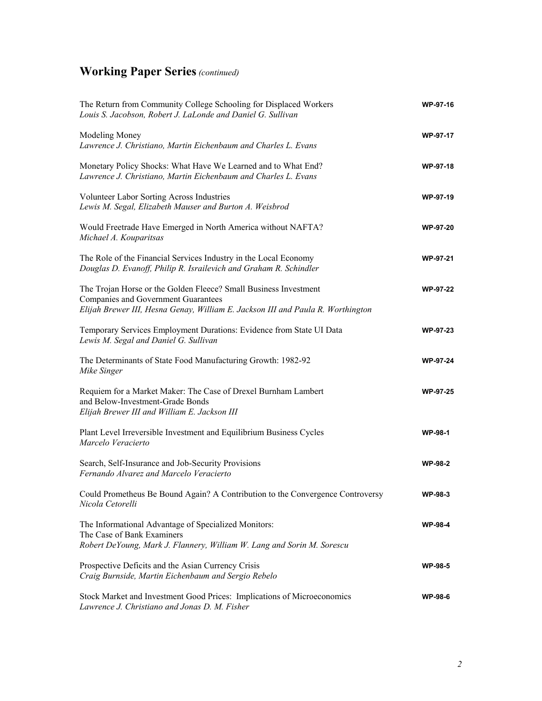| The Return from Community College Schooling for Displaced Workers<br>Louis S. Jacobson, Robert J. LaLonde and Daniel G. Sullivan                                                                  | WP-97-16        |
|---------------------------------------------------------------------------------------------------------------------------------------------------------------------------------------------------|-----------------|
| Modeling Money<br>Lawrence J. Christiano, Martin Eichenbaum and Charles L. Evans                                                                                                                  | WP-97-17        |
| Monetary Policy Shocks: What Have We Learned and to What End?<br>Lawrence J. Christiano, Martin Eichenbaum and Charles L. Evans                                                                   | WP-97-18        |
| Volunteer Labor Sorting Across Industries<br>Lewis M. Segal, Elizabeth Mauser and Burton A. Weisbrod                                                                                              | WP-97-19        |
| Would Freetrade Have Emerged in North America without NAFTA?<br>Michael A. Kouparitsas                                                                                                            | WP-97-20        |
| The Role of the Financial Services Industry in the Local Economy<br>Douglas D. Evanoff, Philip R. Israilevich and Graham R. Schindler                                                             | WP-97-21        |
| The Trojan Horse or the Golden Fleece? Small Business Investment<br><b>Companies and Government Guarantees</b><br>Elijah Brewer III, Hesna Genay, William E. Jackson III and Paula R. Worthington | WP-97-22        |
| Temporary Services Employment Durations: Evidence from State UI Data<br>Lewis M. Segal and Daniel G. Sullivan                                                                                     | WP-97-23        |
| The Determinants of State Food Manufacturing Growth: 1982-92<br>Mike Singer                                                                                                                       | <b>WP-97-24</b> |
| Requiem for a Market Maker: The Case of Drexel Burnham Lambert<br>and Below-Investment-Grade Bonds<br>Elijah Brewer III and William E. Jackson III                                                | WP-97-25        |
| Plant Level Irreversible Investment and Equilibrium Business Cycles<br>Marcelo Veracierto                                                                                                         | <b>WP-98-1</b>  |
| Search, Self-Insurance and Job-Security Provisions<br>Fernando Alvarez and Marcelo Veracierto                                                                                                     | <b>WP-98-2</b>  |
| Could Prometheus Be Bound Again? A Contribution to the Convergence Controversy<br>Nicola Cetorelli                                                                                                | <b>WP-98-3</b>  |
| The Informational Advantage of Specialized Monitors:<br>The Case of Bank Examiners<br>Robert DeYoung, Mark J. Flannery, William W. Lang and Sorin M. Sorescu                                      | <b>WP-98-4</b>  |
| Prospective Deficits and the Asian Currency Crisis<br>Craig Burnside, Martin Eichenbaum and Sergio Rebelo                                                                                         | <b>WP-98-5</b>  |
| Stock Market and Investment Good Prices: Implications of Microeconomics<br>Lawrence J. Christiano and Jonas D. M. Fisher                                                                          | <b>WP-98-6</b>  |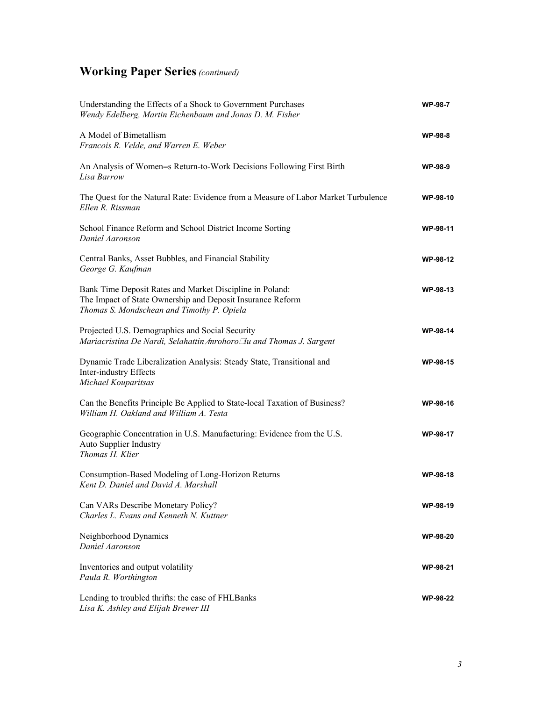| Understanding the Effects of a Shock to Government Purchases<br>Wendy Edelberg, Martin Eichenbaum and Jonas D. M. Fisher                                             | <b>WP-98-7</b>  |
|----------------------------------------------------------------------------------------------------------------------------------------------------------------------|-----------------|
| A Model of Bimetallism<br>Francois R. Velde, and Warren E. Weber                                                                                                     | <b>WP-98-8</b>  |
| An Analysis of Women=s Return-to-Work Decisions Following First Birth<br>Lisa Barrow                                                                                 | <b>WP-98-9</b>  |
| The Quest for the Natural Rate: Evidence from a Measure of Labor Market Turbulence<br>Ellen R. Rissman                                                               | WP-98-10        |
| School Finance Reform and School District Income Sorting<br>Daniel Aaronson                                                                                          | WP-98-11        |
| Central Banks, Asset Bubbles, and Financial Stability<br>George G. Kaufman                                                                                           | WP-98-12        |
| Bank Time Deposit Rates and Market Discipline in Poland:<br>The Impact of State Ownership and Deposit Insurance Reform<br>Thomas S. Mondschean and Timothy P. Opiela | WP-98-13        |
| Projected U.S. Demographics and Social Security<br>Mariacristina De Nardi, Selahattin ∕mrohoro⊡u and Thomas J. Sargent                                               | WP-98-14        |
| Dynamic Trade Liberalization Analysis: Steady State, Transitional and<br>Inter-industry Effects<br>Michael Kouparitsas                                               | <b>WP-98-15</b> |
| Can the Benefits Principle Be Applied to State-local Taxation of Business?<br>William H. Oakland and William A. Testa                                                | WP-98-16        |
| Geographic Concentration in U.S. Manufacturing: Evidence from the U.S.<br><b>Auto Supplier Industry</b><br>Thomas H. Klier                                           | <b>WP-98-17</b> |
| Consumption-Based Modeling of Long-Horizon Returns<br>Kent D. Daniel and David A. Marshall                                                                           | WP-98-18        |
| Can VARs Describe Monetary Policy?<br>Charles L. Evans and Kenneth N. Kuttner                                                                                        | WP-98-19        |
| Neighborhood Dynamics<br>Daniel Aaronson                                                                                                                             | <b>WP-98-20</b> |
| Inventories and output volatility<br>Paula R. Worthington                                                                                                            | WP-98-21        |
| Lending to troubled thrifts: the case of FHLBanks<br>Lisa K. Ashley and Elijah Brewer III                                                                            | <b>WP-98-22</b> |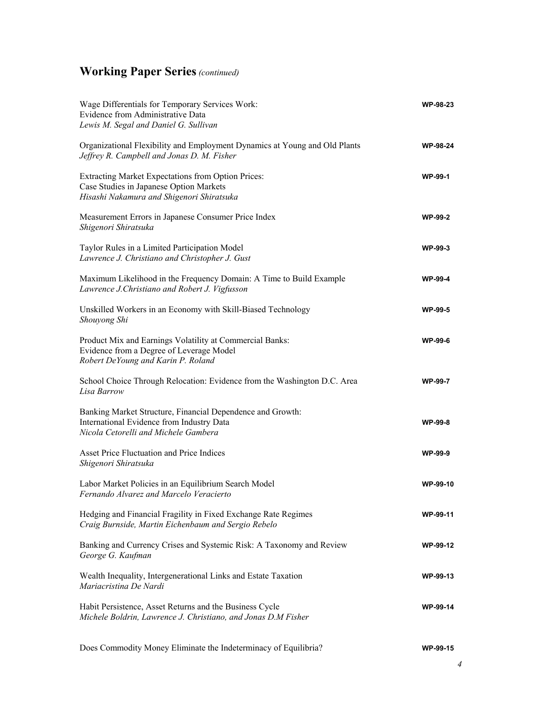| Wage Differentials for Temporary Services Work:<br>Evidence from Administrative Data<br>Lewis M. Segal and Daniel G. Sullivan                   | <b>WP-98-23</b> |
|-------------------------------------------------------------------------------------------------------------------------------------------------|-----------------|
| Organizational Flexibility and Employment Dynamics at Young and Old Plants<br>Jeffrey R. Campbell and Jonas D. M. Fisher                        | <b>WP-98-24</b> |
| Extracting Market Expectations from Option Prices:<br>Case Studies in Japanese Option Markets<br>Hisashi Nakamura and Shigenori Shiratsuka      | <b>WP-99-1</b>  |
| Measurement Errors in Japanese Consumer Price Index<br>Shigenori Shiratsuka                                                                     | <b>WP-99-2</b>  |
| Taylor Rules in a Limited Participation Model<br>Lawrence J. Christiano and Christopher J. Gust                                                 | <b>WP-99-3</b>  |
| Maximum Likelihood in the Frequency Domain: A Time to Build Example<br>Lawrence J.Christiano and Robert J. Vigfusson                            | <b>WP-99-4</b>  |
| Unskilled Workers in an Economy with Skill-Biased Technology<br>Shouyong Shi                                                                    | <b>WP-99-5</b>  |
| Product Mix and Earnings Volatility at Commercial Banks:<br>Evidence from a Degree of Leverage Model<br>Robert DeYoung and Karin P. Roland      | <b>WP-99-6</b>  |
| School Choice Through Relocation: Evidence from the Washington D.C. Area<br>Lisa Barrow                                                         | <b>WP-99-7</b>  |
| Banking Market Structure, Financial Dependence and Growth:<br>International Evidence from Industry Data<br>Nicola Cetorelli and Michele Gambera | WP-99-8         |
| Asset Price Fluctuation and Price Indices<br>Shigenori Shiratsuka                                                                               | <b>WP-99-9</b>  |
| Labor Market Policies in an Equilibrium Search Model<br>Fernando Alvarez and Marcelo Veracierto                                                 | WP-99-10        |
| Hedging and Financial Fragility in Fixed Exchange Rate Regimes<br>Craig Burnside, Martin Eichenbaum and Sergio Rebelo                           | <b>WP-99-11</b> |
| Banking and Currency Crises and Systemic Risk: A Taxonomy and Review<br>George G. Kaufman                                                       | WP-99-12        |
| Wealth Inequality, Intergenerational Links and Estate Taxation<br>Mariacristina De Nardi                                                        | WP-99-13        |
| Habit Persistence, Asset Returns and the Business Cycle<br>Michele Boldrin, Lawrence J. Christiano, and Jonas D.M Fisher                        | <b>WP-99-14</b> |
| Does Commodity Money Eliminate the Indeterminacy of Equilibria?                                                                                 | WP-99-15        |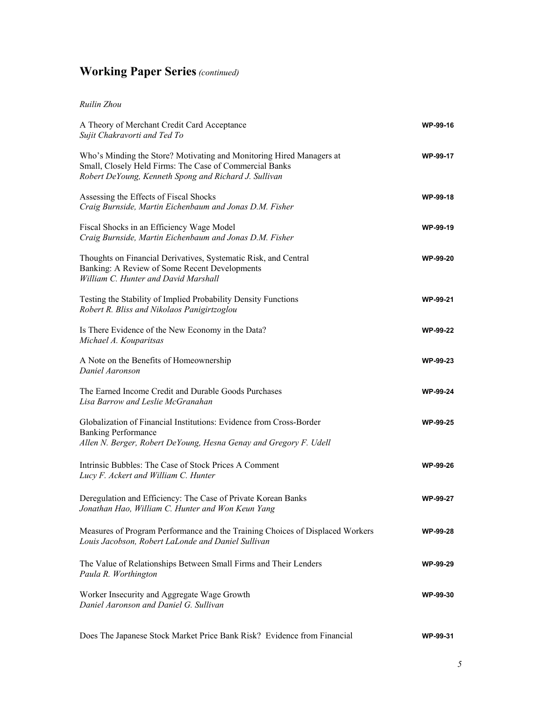#### *Ruilin Zhou*

| A Theory of Merchant Credit Card Acceptance<br>Sujit Chakravorti and Ted To                                                                                                              | WP-99-16        |
|------------------------------------------------------------------------------------------------------------------------------------------------------------------------------------------|-----------------|
| Who's Minding the Store? Motivating and Monitoring Hired Managers at<br>Small, Closely Held Firms: The Case of Commercial Banks<br>Robert DeYoung, Kenneth Spong and Richard J. Sullivan | WP-99-17        |
| Assessing the Effects of Fiscal Shocks<br>Craig Burnside, Martin Eichenbaum and Jonas D.M. Fisher                                                                                        | WP-99-18        |
| Fiscal Shocks in an Efficiency Wage Model<br>Craig Burnside, Martin Eichenbaum and Jonas D.M. Fisher                                                                                     | WP-99-19        |
| Thoughts on Financial Derivatives, Systematic Risk, and Central<br>Banking: A Review of Some Recent Developments<br>William C. Hunter and David Marshall                                 | <b>WP-99-20</b> |
| Testing the Stability of Implied Probability Density Functions<br>Robert R. Bliss and Nikolaos Panigirtzoglou                                                                            | WP-99-21        |
| Is There Evidence of the New Economy in the Data?<br>Michael A. Kouparitsas                                                                                                              | <b>WP-99-22</b> |
| A Note on the Benefits of Homeownership<br>Daniel Aaronson                                                                                                                               | WP-99-23        |
| The Earned Income Credit and Durable Goods Purchases<br>Lisa Barrow and Leslie McGranahan                                                                                                | WP-99-24        |
| Globalization of Financial Institutions: Evidence from Cross-Border<br><b>Banking Performance</b><br>Allen N. Berger, Robert DeYoung, Hesna Genay and Gregory F. Udell                   | <b>WP-99-25</b> |
| Intrinsic Bubbles: The Case of Stock Prices A Comment<br>Lucy F. Ackert and William C. Hunter                                                                                            | WP-99-26        |
| Deregulation and Efficiency: The Case of Private Korean Banks<br>Jonathan Hao, William C. Hunter and Won Keun Yang                                                                       | <b>WP-99-27</b> |
| Measures of Program Performance and the Training Choices of Displaced Workers<br>Louis Jacobson, Robert LaLonde and Daniel Sullivan                                                      | <b>WP-99-28</b> |
| The Value of Relationships Between Small Firms and Their Lenders<br>Paula R. Worthington                                                                                                 | <b>WP-99-29</b> |
| Worker Insecurity and Aggregate Wage Growth<br>Daniel Aaronson and Daniel G. Sullivan                                                                                                    | WP-99-30        |
| Does The Japanese Stock Market Price Bank Risk? Evidence from Financial                                                                                                                  | WP-99-31        |